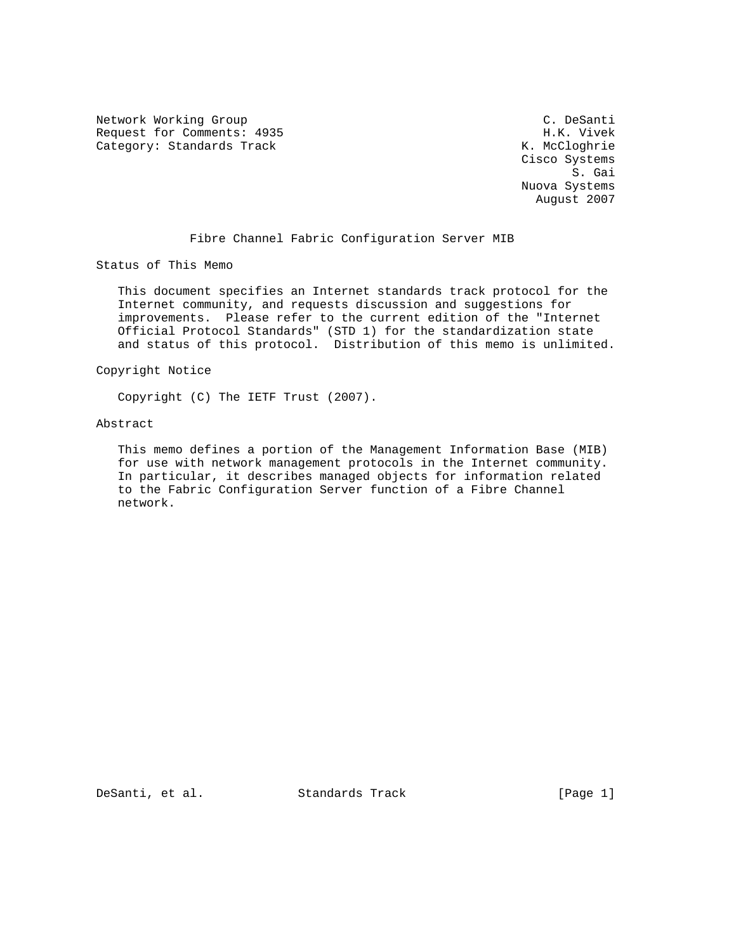Network Working Group C. Desanti Request for Comments: 4935 H.K. Vivek Category: Standards Track

 Cisco Systems S. Gai Nuova Systems August 2007

# Fibre Channel Fabric Configuration Server MIB

Status of This Memo

 This document specifies an Internet standards track protocol for the Internet community, and requests discussion and suggestions for improvements. Please refer to the current edition of the "Internet Official Protocol Standards" (STD 1) for the standardization state and status of this protocol. Distribution of this memo is unlimited.

### Copyright Notice

Copyright (C) The IETF Trust (2007).

## Abstract

 This memo defines a portion of the Management Information Base (MIB) for use with network management protocols in the Internet community. In particular, it describes managed objects for information related to the Fabric Configuration Server function of a Fibre Channel network.

DeSanti, et al. Standards Track [Page 1]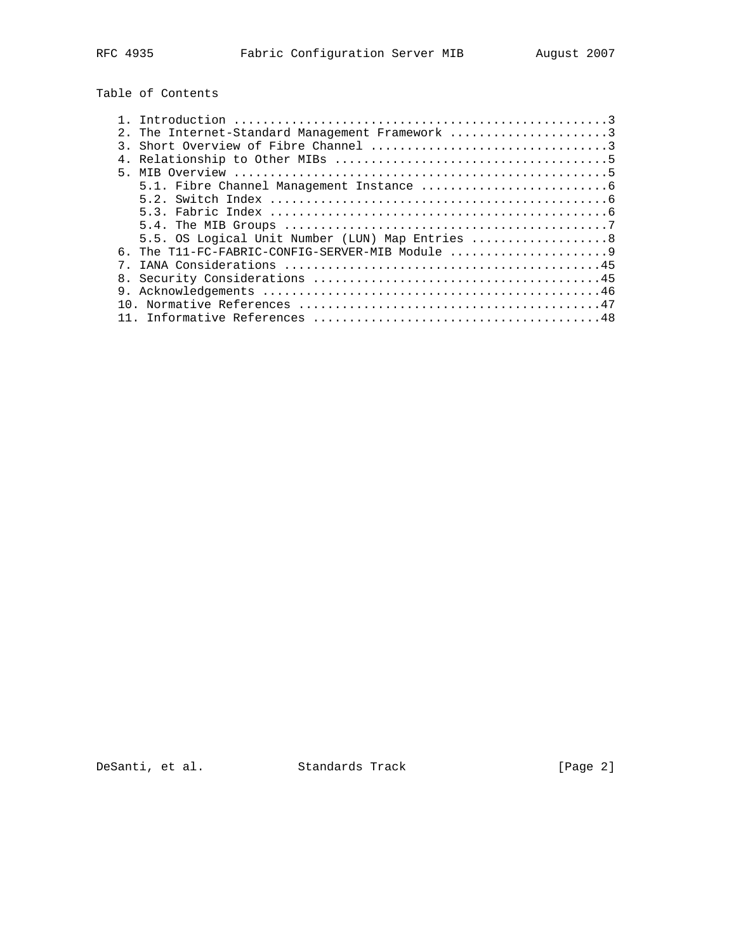Table of Contents

| 2. The Internet-Standard Management Framework 3<br>6. The T11-FC-FABRIC-CONFIG-SERVER-MIB Module |  |                                                  |
|--------------------------------------------------------------------------------------------------|--|--------------------------------------------------|
|                                                                                                  |  |                                                  |
|                                                                                                  |  |                                                  |
|                                                                                                  |  |                                                  |
|                                                                                                  |  |                                                  |
|                                                                                                  |  |                                                  |
|                                                                                                  |  |                                                  |
|                                                                                                  |  |                                                  |
|                                                                                                  |  |                                                  |
|                                                                                                  |  | 5.5. OS Logical Unit Number (LUN) Map Entries  8 |
|                                                                                                  |  |                                                  |
|                                                                                                  |  |                                                  |
|                                                                                                  |  |                                                  |
|                                                                                                  |  |                                                  |
|                                                                                                  |  |                                                  |
|                                                                                                  |  |                                                  |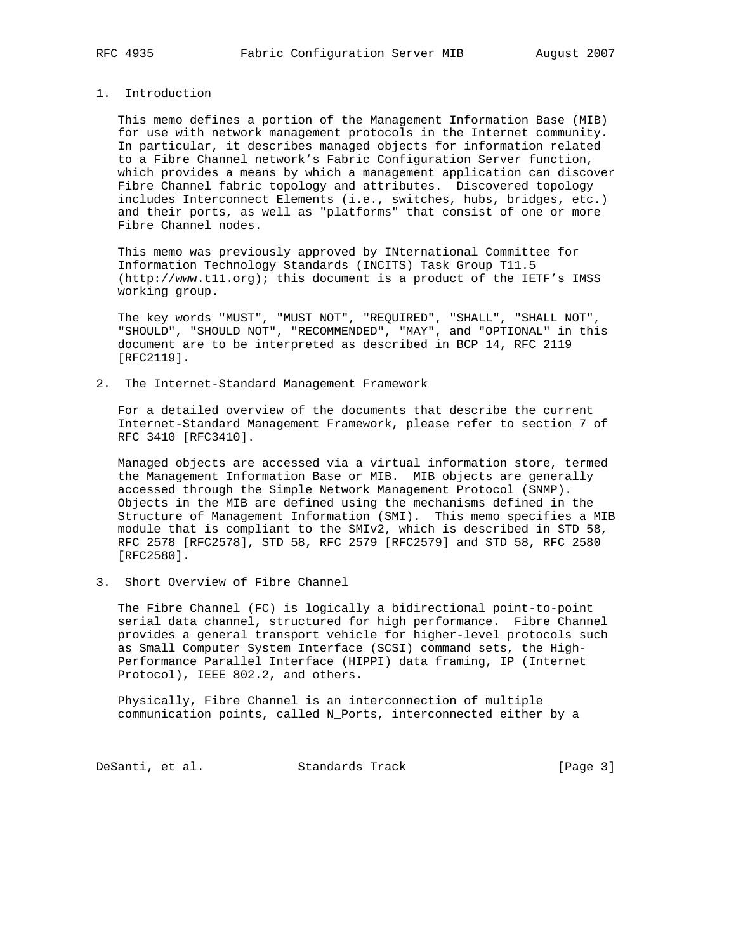# 1. Introduction

 This memo defines a portion of the Management Information Base (MIB) for use with network management protocols in the Internet community. In particular, it describes managed objects for information related to a Fibre Channel network's Fabric Configuration Server function, which provides a means by which a management application can discover Fibre Channel fabric topology and attributes. Discovered topology includes Interconnect Elements (i.e., switches, hubs, bridges, etc.) and their ports, as well as "platforms" that consist of one or more Fibre Channel nodes.

 This memo was previously approved by INternational Committee for Information Technology Standards (INCITS) Task Group T11.5 (http://www.t11.org); this document is a product of the IETF's IMSS working group.

 The key words "MUST", "MUST NOT", "REQUIRED", "SHALL", "SHALL NOT", "SHOULD", "SHOULD NOT", "RECOMMENDED", "MAY", and "OPTIONAL" in this document are to be interpreted as described in BCP 14, RFC 2119 [RFC2119].

2. The Internet-Standard Management Framework

 For a detailed overview of the documents that describe the current Internet-Standard Management Framework, please refer to section 7 of RFC 3410 [RFC3410].

 Managed objects are accessed via a virtual information store, termed the Management Information Base or MIB. MIB objects are generally accessed through the Simple Network Management Protocol (SNMP). Objects in the MIB are defined using the mechanisms defined in the Structure of Management Information (SMI). This memo specifies a MIB module that is compliant to the SMIv2, which is described in STD 58, RFC 2578 [RFC2578], STD 58, RFC 2579 [RFC2579] and STD 58, RFC 2580 [RFC2580].

3. Short Overview of Fibre Channel

 The Fibre Channel (FC) is logically a bidirectional point-to-point serial data channel, structured for high performance. Fibre Channel provides a general transport vehicle for higher-level protocols such as Small Computer System Interface (SCSI) command sets, the High- Performance Parallel Interface (HIPPI) data framing, IP (Internet Protocol), IEEE 802.2, and others.

 Physically, Fibre Channel is an interconnection of multiple communication points, called N\_Ports, interconnected either by a

DeSanti, et al. Standards Track [Page 3]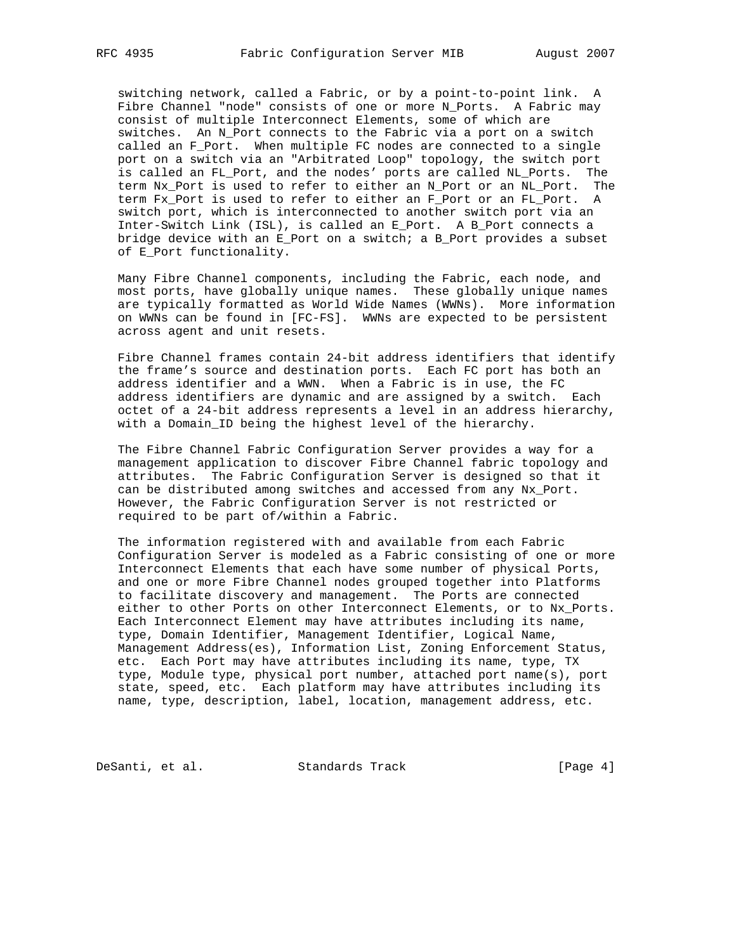switching network, called a Fabric, or by a point-to-point link. A Fibre Channel "node" consists of one or more N\_Ports. A Fabric may consist of multiple Interconnect Elements, some of which are switches. An N\_Port connects to the Fabric via a port on a switch called an F\_Port. When multiple FC nodes are connected to a single port on a switch via an "Arbitrated Loop" topology, the switch port is called an FL\_Port, and the nodes' ports are called NL\_Ports. The term Nx\_Port is used to refer to either an N\_Port or an NL\_Port. The term Fx\_Port is used to refer to either an F\_Port or an FL\_Port. A switch port, which is interconnected to another switch port via an Inter-Switch Link (ISL), is called an E\_Port. A B\_Port connects a bridge device with an E\_Port on a switch; a B\_Port provides a subset of E\_Port functionality.

 Many Fibre Channel components, including the Fabric, each node, and most ports, have globally unique names. These globally unique names are typically formatted as World Wide Names (WWNs). More information on WWNs can be found in [FC-FS]. WWNs are expected to be persistent across agent and unit resets.

 Fibre Channel frames contain 24-bit address identifiers that identify the frame's source and destination ports. Each FC port has both an address identifier and a WWN. When a Fabric is in use, the FC address identifiers are dynamic and are assigned by a switch. Each octet of a 24-bit address represents a level in an address hierarchy, with a Domain\_ID being the highest level of the hierarchy.

 The Fibre Channel Fabric Configuration Server provides a way for a management application to discover Fibre Channel fabric topology and attributes. The Fabric Configuration Server is designed so that it can be distributed among switches and accessed from any Nx\_Port. However, the Fabric Configuration Server is not restricted or required to be part of/within a Fabric.

 The information registered with and available from each Fabric Configuration Server is modeled as a Fabric consisting of one or more Interconnect Elements that each have some number of physical Ports, and one or more Fibre Channel nodes grouped together into Platforms to facilitate discovery and management. The Ports are connected either to other Ports on other Interconnect Elements, or to Nx\_Ports. Each Interconnect Element may have attributes including its name, type, Domain Identifier, Management Identifier, Logical Name, Management Address(es), Information List, Zoning Enforcement Status, etc. Each Port may have attributes including its name, type, TX type, Module type, physical port number, attached port name(s), port state, speed, etc. Each platform may have attributes including its name, type, description, label, location, management address, etc.

DeSanti, et al. Standards Track [Page 4]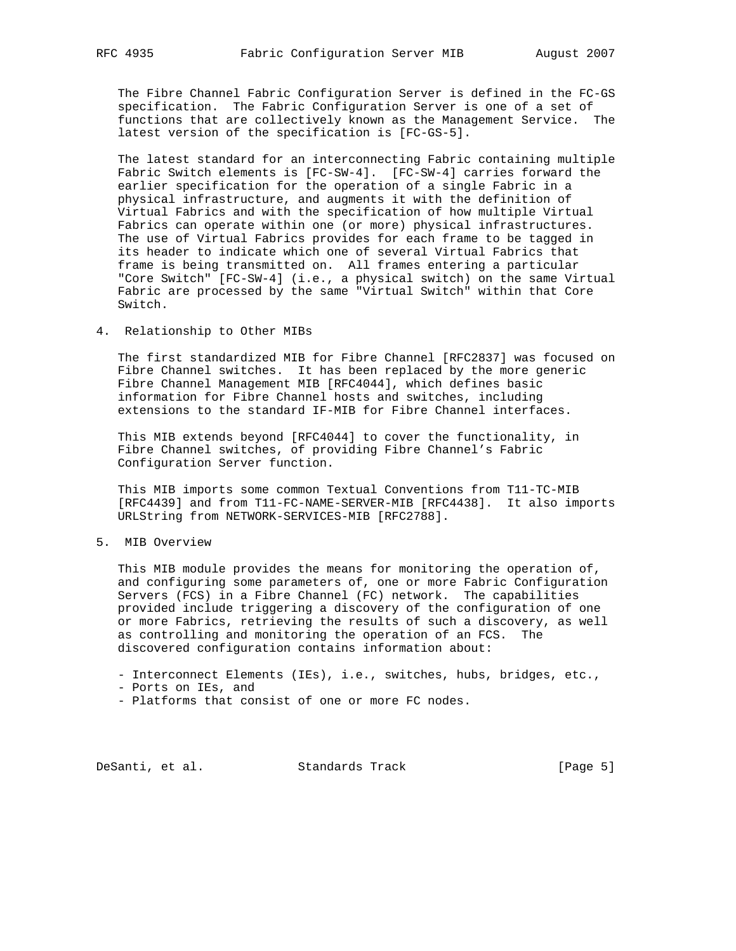The Fibre Channel Fabric Configuration Server is defined in the FC-GS specification. The Fabric Configuration Server is one of a set of functions that are collectively known as the Management Service. The latest version of the specification is [FC-GS-5].

 The latest standard for an interconnecting Fabric containing multiple Fabric Switch elements is [FC-SW-4]. [FC-SW-4] carries forward the earlier specification for the operation of a single Fabric in a physical infrastructure, and augments it with the definition of Virtual Fabrics and with the specification of how multiple Virtual Fabrics can operate within one (or more) physical infrastructures. The use of Virtual Fabrics provides for each frame to be tagged in its header to indicate which one of several Virtual Fabrics that frame is being transmitted on. All frames entering a particular "Core Switch" [FC-SW-4] (i.e., a physical switch) on the same Virtual Fabric are processed by the same "Virtual Switch" within that Core Switch.

4. Relationship to Other MIBs

 The first standardized MIB for Fibre Channel [RFC2837] was focused on Fibre Channel switches. It has been replaced by the more generic Fibre Channel Management MIB [RFC4044], which defines basic information for Fibre Channel hosts and switches, including extensions to the standard IF-MIB for Fibre Channel interfaces.

 This MIB extends beyond [RFC4044] to cover the functionality, in Fibre Channel switches, of providing Fibre Channel's Fabric Configuration Server function.

 This MIB imports some common Textual Conventions from T11-TC-MIB [RFC4439] and from T11-FC-NAME-SERVER-MIB [RFC4438]. It also imports URLString from NETWORK-SERVICES-MIB [RFC2788].

5. MIB Overview

 This MIB module provides the means for monitoring the operation of, and configuring some parameters of, one or more Fabric Configuration Servers (FCS) in a Fibre Channel (FC) network. The capabilities provided include triggering a discovery of the configuration of one or more Fabrics, retrieving the results of such a discovery, as well as controlling and monitoring the operation of an FCS. The discovered configuration contains information about:

- Interconnect Elements (IEs), i.e., switches, hubs, bridges, etc.,

- Ports on IEs, and

- Platforms that consist of one or more FC nodes.

DeSanti, et al. Standards Track [Page 5]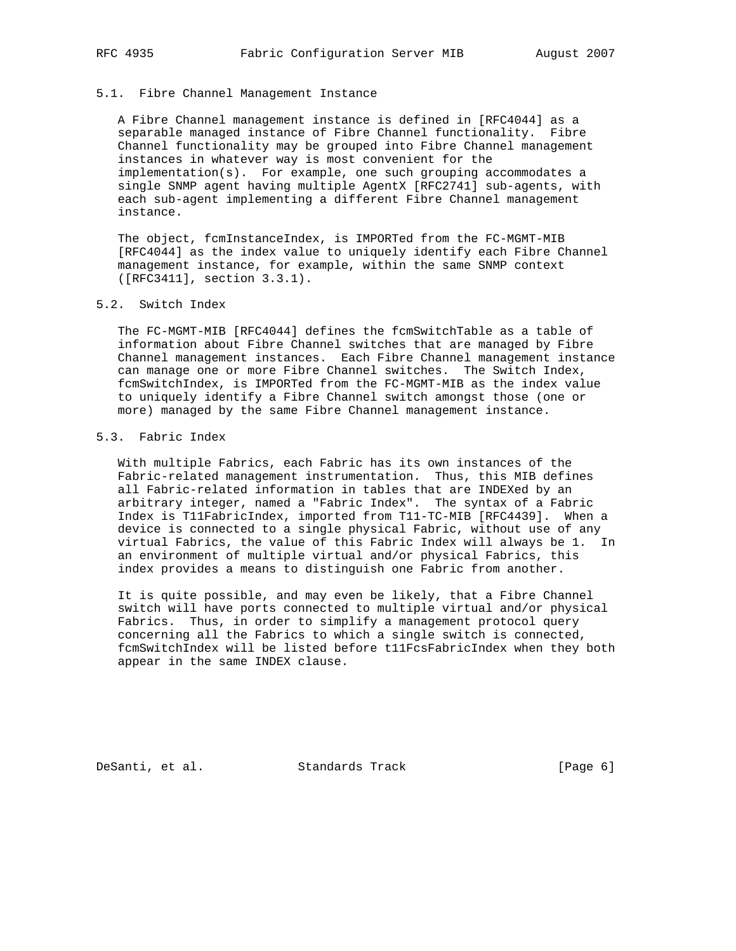### 5.1. Fibre Channel Management Instance

 A Fibre Channel management instance is defined in [RFC4044] as a separable managed instance of Fibre Channel functionality. Fibre Channel functionality may be grouped into Fibre Channel management instances in whatever way is most convenient for the implementation(s). For example, one such grouping accommodates a single SNMP agent having multiple AgentX [RFC2741] sub-agents, with each sub-agent implementing a different Fibre Channel management instance.

 The object, fcmInstanceIndex, is IMPORTed from the FC-MGMT-MIB [RFC4044] as the index value to uniquely identify each Fibre Channel management instance, for example, within the same SNMP context ([RFC3411], section 3.3.1).

### 5.2. Switch Index

 The FC-MGMT-MIB [RFC4044] defines the fcmSwitchTable as a table of information about Fibre Channel switches that are managed by Fibre Channel management instances. Each Fibre Channel management instance can manage one or more Fibre Channel switches. The Switch Index, fcmSwitchIndex, is IMPORTed from the FC-MGMT-MIB as the index value to uniquely identify a Fibre Channel switch amongst those (one or more) managed by the same Fibre Channel management instance.

# 5.3. Fabric Index

 With multiple Fabrics, each Fabric has its own instances of the Fabric-related management instrumentation. Thus, this MIB defines all Fabric-related information in tables that are INDEXed by an arbitrary integer, named a "Fabric Index". The syntax of a Fabric Index is T11FabricIndex, imported from T11-TC-MIB [RFC4439]. When a device is connected to a single physical Fabric, without use of any virtual Fabrics, the value of this Fabric Index will always be 1. In an environment of multiple virtual and/or physical Fabrics, this index provides a means to distinguish one Fabric from another.

 It is quite possible, and may even be likely, that a Fibre Channel switch will have ports connected to multiple virtual and/or physical Fabrics. Thus, in order to simplify a management protocol query concerning all the Fabrics to which a single switch is connected, fcmSwitchIndex will be listed before t11FcsFabricIndex when they both appear in the same INDEX clause.

DeSanti, et al. Standards Track [Page 6]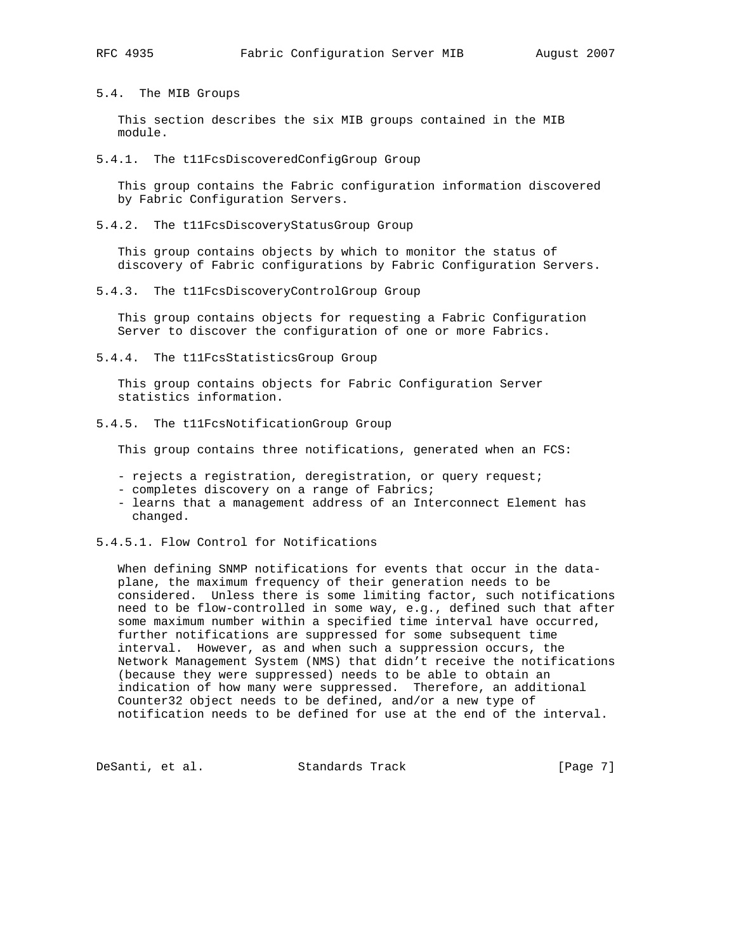5.4. The MIB Groups

 This section describes the six MIB groups contained in the MIB module.

5.4.1. The t11FcsDiscoveredConfigGroup Group

 This group contains the Fabric configuration information discovered by Fabric Configuration Servers.

5.4.2. The t11FcsDiscoveryStatusGroup Group

 This group contains objects by which to monitor the status of discovery of Fabric configurations by Fabric Configuration Servers.

5.4.3. The t11FcsDiscoveryControlGroup Group

 This group contains objects for requesting a Fabric Configuration Server to discover the configuration of one or more Fabrics.

5.4.4. The t11FcsStatisticsGroup Group

 This group contains objects for Fabric Configuration Server statistics information.

5.4.5. The t11FcsNotificationGroup Group

This group contains three notifications, generated when an FCS:

- rejects a registration, deregistration, or query request;
- completes discovery on a range of Fabrics;
- learns that a management address of an Interconnect Element has changed.
- 5.4.5.1. Flow Control for Notifications

 When defining SNMP notifications for events that occur in the data plane, the maximum frequency of their generation needs to be considered. Unless there is some limiting factor, such notifications need to be flow-controlled in some way, e.g., defined such that after some maximum number within a specified time interval have occurred, further notifications are suppressed for some subsequent time interval. However, as and when such a suppression occurs, the Network Management System (NMS) that didn't receive the notifications (because they were suppressed) needs to be able to obtain an indication of how many were suppressed. Therefore, an additional Counter32 object needs to be defined, and/or a new type of notification needs to be defined for use at the end of the interval.

DeSanti, et al. Standards Track [Page 7]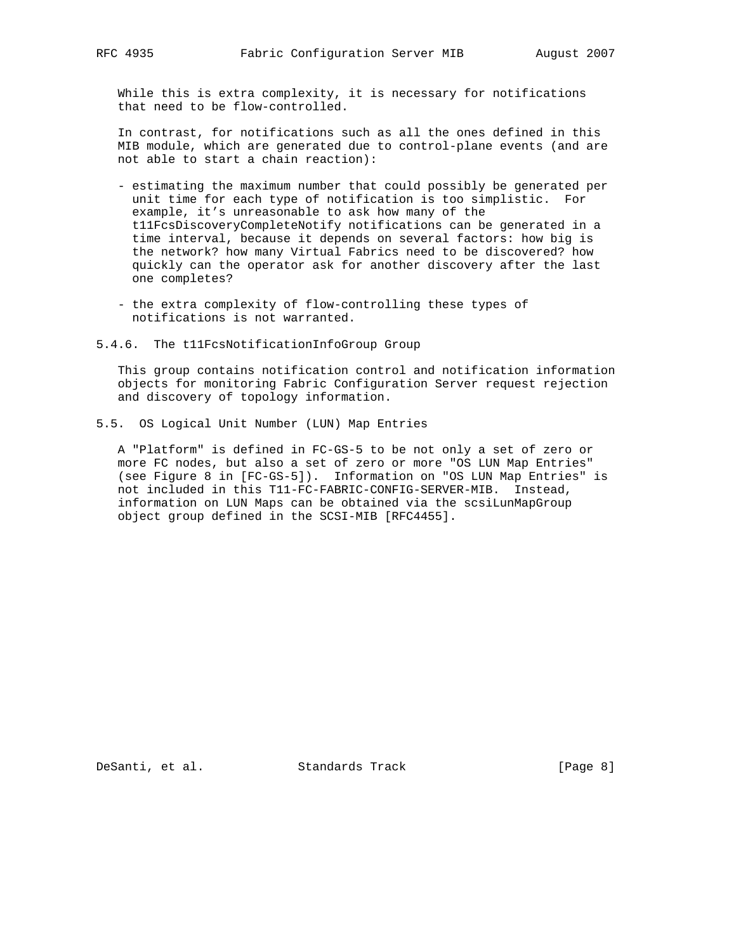While this is extra complexity, it is necessary for notifications that need to be flow-controlled.

 In contrast, for notifications such as all the ones defined in this MIB module, which are generated due to control-plane events (and are not able to start a chain reaction):

- estimating the maximum number that could possibly be generated per unit time for each type of notification is too simplistic. For example, it's unreasonable to ask how many of the t11FcsDiscoveryCompleteNotify notifications can be generated in a time interval, because it depends on several factors: how big is the network? how many Virtual Fabrics need to be discovered? how quickly can the operator ask for another discovery after the last one completes?
- the extra complexity of flow-controlling these types of notifications is not warranted.
- 5.4.6. The t11FcsNotificationInfoGroup Group

 This group contains notification control and notification information objects for monitoring Fabric Configuration Server request rejection and discovery of topology information.

5.5. OS Logical Unit Number (LUN) Map Entries

 A "Platform" is defined in FC-GS-5 to be not only a set of zero or more FC nodes, but also a set of zero or more "OS LUN Map Entries" (see Figure 8 in [FC-GS-5]). Information on "OS LUN Map Entries" is not included in this T11-FC-FABRIC-CONFIG-SERVER-MIB. Instead, information on LUN Maps can be obtained via the scsiLunMapGroup object group defined in the SCSI-MIB [RFC4455].

DeSanti, et al. Standards Track [Page 8]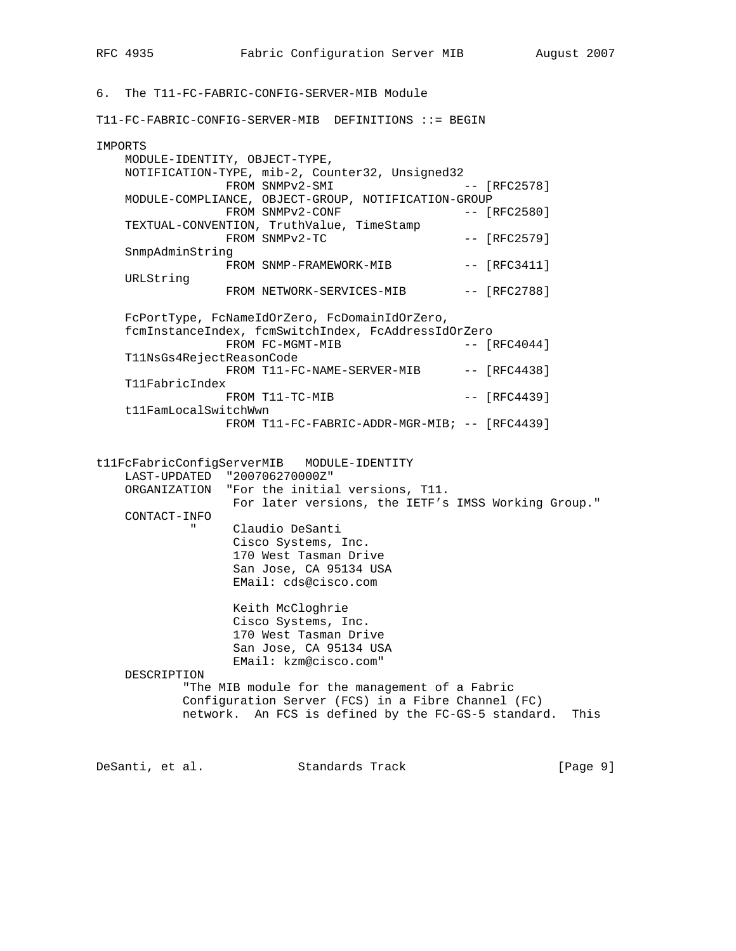6. The T11-FC-FABRIC-CONFIG-SERVER-MIB Module T11-FC-FABRIC-CONFIG-SERVER-MIB DEFINITIONS ::= BEGIN IMPORTS MODULE-IDENTITY, OBJECT-TYPE, NOTIFICATION-TYPE, mib-2, Counter32, Unsigned32 FROM SNMPv2-SMI -- [RFC2578] MODULE-COMPLIANCE, OBJECT-GROUP, NOTIFICATION-GROUP FROM SNMPv2-CONF -- [RFC2580] TEXTUAL-CONVENTION, TruthValue, TimeStamp  $FROM$   $SNNPv2-TC$   $[RFC2579]$  SnmpAdminString FROM SNMP-FRAMEWORK-MIB -- [RFC3411] URLString FROM NETWORK-SERVICES-MIB -- [RFC2788] FcPortType, FcNameIdOrZero, FcDomainIdOrZero, fcmInstanceIndex, fcmSwitchIndex, FcAddressIdOrZero FROM FC-MGMT-MIB  $---$  [RFC4044] T11NsGs4RejectReasonCode FROM T11-FC-NAME-SERVER-MIB -- [RFC4438] T11FabricIndex FROM T11-TC-MIB -- [RFC4439] t11FamLocalSwitchWwn FROM T11-FC-FABRIC-ADDR-MGR-MIB; -- [RFC4439] t11FcFabricConfigServerMIB MODULE-IDENTITY LAST-UPDATED "200706270000Z" ORGANIZATION "For the initial versions, T11. For later versions, the IETF's IMSS Working Group." CONTACT-INFO " Claudio DeSanti Cisco Systems, Inc. 170 West Tasman Drive San Jose, CA 95134 USA EMail: cds@cisco.com Keith McCloghrie Cisco Systems, Inc. 170 West Tasman Drive San Jose, CA 95134 USA EMail: kzm@cisco.com" DESCRIPTION "The MIB module for the management of a Fabric Configuration Server (FCS) in a Fibre Channel (FC) network. An FCS is defined by the FC-GS-5 standard. This

DeSanti, et al. Standards Track [Page 9]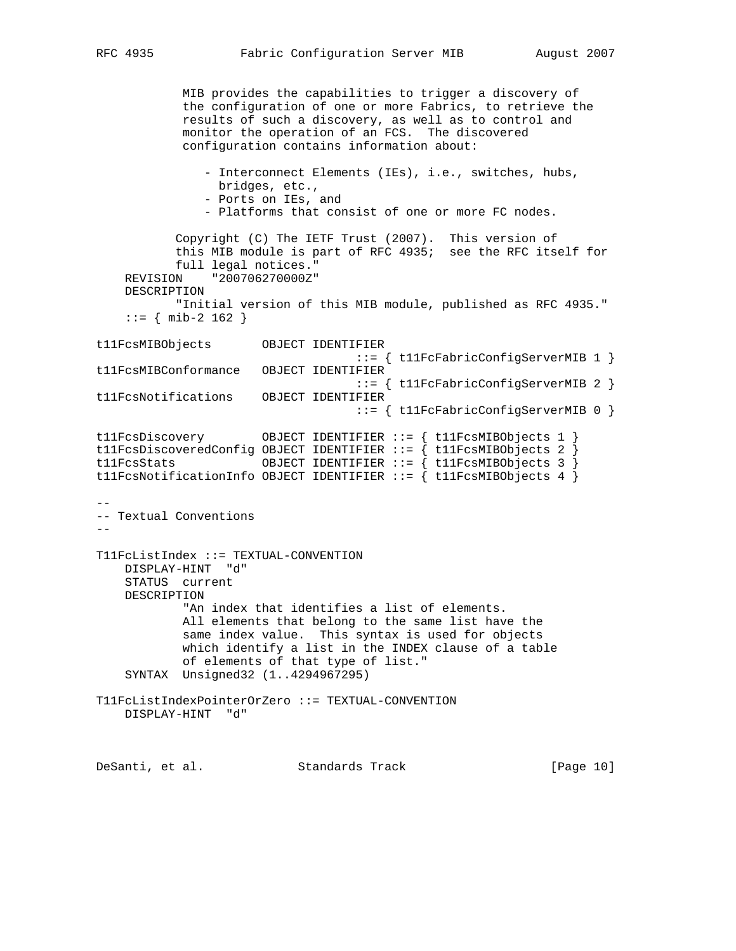MIB provides the capabilities to trigger a discovery of the configuration of one or more Fabrics, to retrieve the results of such a discovery, as well as to control and monitor the operation of an FCS. The discovered configuration contains information about: - Interconnect Elements (IEs), i.e., switches, hubs, bridges, etc., - Ports on IEs, and - Platforms that consist of one or more FC nodes. Copyright (C) The IETF Trust (2007). This version of this MIB module is part of RFC 4935; see the RFC itself for full legal notices." REVISION "200706270000Z" DESCRIPTION "Initial version of this MIB module, published as RFC 4935."  $::=$  { mib-2 162 } t11FcsMIBObjects OBJECT IDENTIFIER ::= { t11FcFabricConfigServerMIB 1 } t11FcsMIBConformance OBJECT IDENTIFIER ::= { t11FcFabricConfigServerMIB 2 } t11FcsNotifications OBJECT IDENTIFIER ::= { t11FcFabricConfigServerMIB 0 } t11FcsDiscovery 0BJECT IDENTIFIER ::= { t11FcsMIBObjects 1 } t11FcsDiscoveredConfig OBJECT IDENTIFIER ::= { t11FcsMIBObjects 2 } t11FcsStats OBJECT IDENTIFIER ::= { t11FcsMIBObjects 3 } t11FcsNotificationInfo OBJECT IDENTIFIER ::= { t11FcsMIBObjects 4 } -- -- Textual Conventions -- T11FcListIndex ::= TEXTUAL-CONVENTION DISPLAY-HINT "d" STATUS current DESCRIPTION "An index that identifies a list of elements. All elements that belong to the same list have the same index value. This syntax is used for objects which identify a list in the INDEX clause of a table of elements of that type of list." SYNTAX Unsigned32 (1..4294967295) T11FcListIndexPointerOrZero ::= TEXTUAL-CONVENTION DISPLAY-HINT "d" DeSanti, et al. Standards Track [Page 10]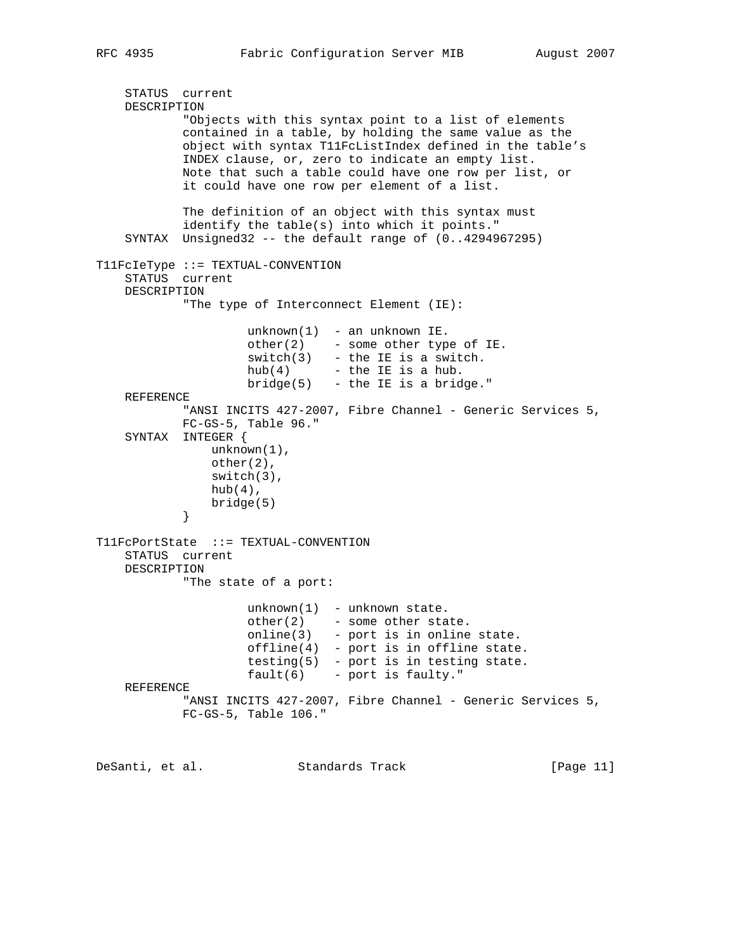```
 STATUS current
    DESCRIPTION
            "Objects with this syntax point to a list of elements
            contained in a table, by holding the same value as the
            object with syntax T11FcListIndex defined in the table's
            INDEX clause, or, zero to indicate an empty list.
            Note that such a table could have one row per list, or
            it could have one row per element of a list.
            The definition of an object with this syntax must
            identify the table(s) into which it points."
    SYNTAX Unsigned32 -- the default range of (0..4294967295)
T11FcIeType ::= TEXTUAL-CONVENTION
    STATUS current
    DESCRIPTION
            "The type of Interconnect Element (IE):
                    unknown(1) - an unknown IE.
                    other(2) - some other type of IE.
                    switch(3) - the IE is a switch.
                   hub(4) - the IE is a hub.
                   bridge(5) - the IE is a bridge."
    REFERENCE
           "ANSI INCITS 427-2007, Fibre Channel - Generic Services 5,
            FC-GS-5, Table 96."
    SYNTAX INTEGER {
                unknown(1),
                other(2),
               switch(3),
              hub(4),
           bridge(5)<br>}
 }
T11FcPortState ::= TEXTUAL-CONVENTION
    STATUS current
    DESCRIPTION
            "The state of a port:
                    unknown(1) - unknown state.
other(2) - some other state.
online(3) - port is in online state.
                    offline(4) - port is in offline state.
                    testing(5) - port is in testing state.
                    fault(6) - port is faulty."
    REFERENCE
           "ANSI INCITS 427-2007, Fibre Channel - Generic Services 5,
            FC-GS-5, Table 106."
DeSanti, et al. Standards Track [Page 11]
```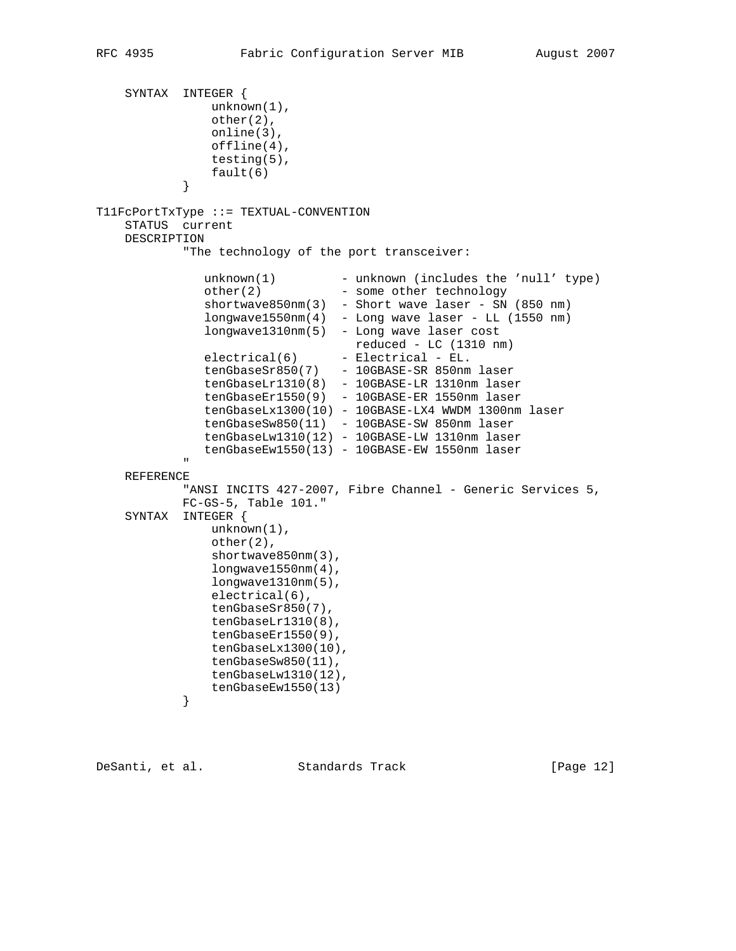```
 SYNTAX INTEGER {
                  unknown(1),
                  other(2),
                  online(3),
                  offline(4),
                  testing(5),
             fault(6)<br>}
 }
T11FcPortTxType ::= TEXTUAL-CONVENTION
     STATUS current
     DESCRIPTION
              "The technology of the port transceiver:
unknown(1) - unknown (includes the 'null' type)
other(2) - some other technology
 shortwave850nm(3) - Short wave laser - SN (850 nm)
 longwave1550nm(4) - Long wave laser - LL (1550 nm)
                 longwave1310nm(5) - Long wave laser cost
                                      reduced - LC (1310 nm)
                electrical(6) - Electrical - EL.
                 tenGbaseSr850(7) - 10GBASE-SR 850nm laser
                 tenGbaseLr1310(8) - 10GBASE-LR 1310nm laser
                 tenGbaseEr1550(9) - 10GBASE-ER 1550nm laser
                 tenGbaseLx1300(10) - 10GBASE-LX4 WWDM 1300nm laser
 tenGbaseSw850(11) - 10GBASE-SW 850nm laser
 tenGbaseLw1310(12) - 10GBASE-LW 1310nm laser
                 tenGbaseEw1550(13) - 10GBASE-EW 1550nm laser
" "The Contract of the Contract of the Contract of the Contract of the Contract of the Contract of the Contract of the Contract of the Contract of the Contract of the Contract of the Contract of the Contract of the Contrac
     REFERENCE
             "ANSI INCITS 427-2007, Fibre Channel - Generic Services 5,
             FC-GS-5, Table 101."
     SYNTAX INTEGER {
                  unknown(1),
                  other(2),
                  shortwave850nm(3),
                  longwave1550nm(4),
                  longwave1310nm(5),
                  electrical(6),
                  tenGbaseSr850(7),
                  tenGbaseLr1310(8),
                  tenGbaseEr1550(9),
                  tenGbaseLx1300(10),
                  tenGbaseSw850(11),
                  tenGbaseLw1310(12),
             tenGbaseEw1550(13)
 }
```
DeSanti, et al. Standards Track [Page 12]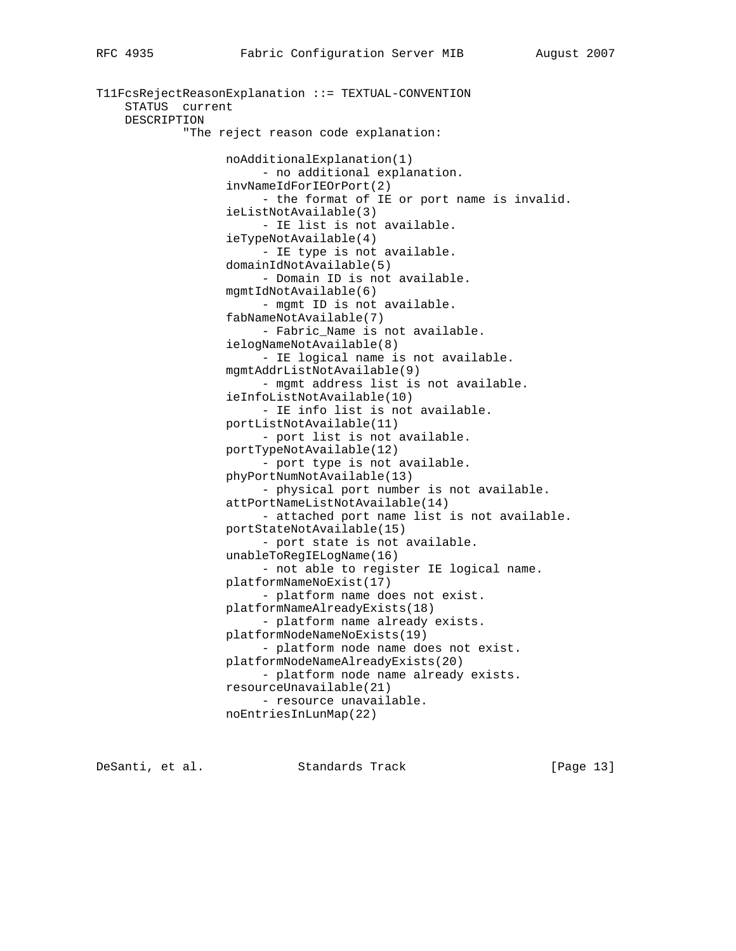```
T11FcsRejectReasonExplanation ::= TEXTUAL-CONVENTION
     STATUS current
     DESCRIPTION
             "The reject reason code explanation:
                   noAdditionalExplanation(1)
                        - no additional explanation.
                   invNameIdForIEOrPort(2)
                        - the format of IE or port name is invalid.
                   ieListNotAvailable(3)
                        - IE list is not available.
                   ieTypeNotAvailable(4)
                        - IE type is not available.
                   domainIdNotAvailable(5)
                         - Domain ID is not available.
                   mgmtIdNotAvailable(6)
                        - mgmt ID is not available.
                   fabNameNotAvailable(7)
                        - Fabric_Name is not available.
                   ielogNameNotAvailable(8)
                        - IE logical name is not available.
                   mgmtAddrListNotAvailable(9)
                        - mgmt address list is not available.
                   ieInfoListNotAvailable(10)
                        - IE info list is not available.
                   portListNotAvailable(11)
                         - port list is not available.
                   portTypeNotAvailable(12)
                         - port type is not available.
                   phyPortNumNotAvailable(13)
                         - physical port number is not available.
                   attPortNameListNotAvailable(14)
                         - attached port name list is not available.
                   portStateNotAvailable(15)
                         - port state is not available.
                   unableToRegIELogName(16)
                         - not able to register IE logical name.
                   platformNameNoExist(17)
                         - platform name does not exist.
                   platformNameAlreadyExists(18)
                         - platform name already exists.
                   platformNodeNameNoExists(19)
                         - platform node name does not exist.
                   platformNodeNameAlreadyExists(20)
                         - platform node name already exists.
                   resourceUnavailable(21)
                        - resource unavailable.
                   noEntriesInLunMap(22)
```
DeSanti, et al. Standards Track [Page 13]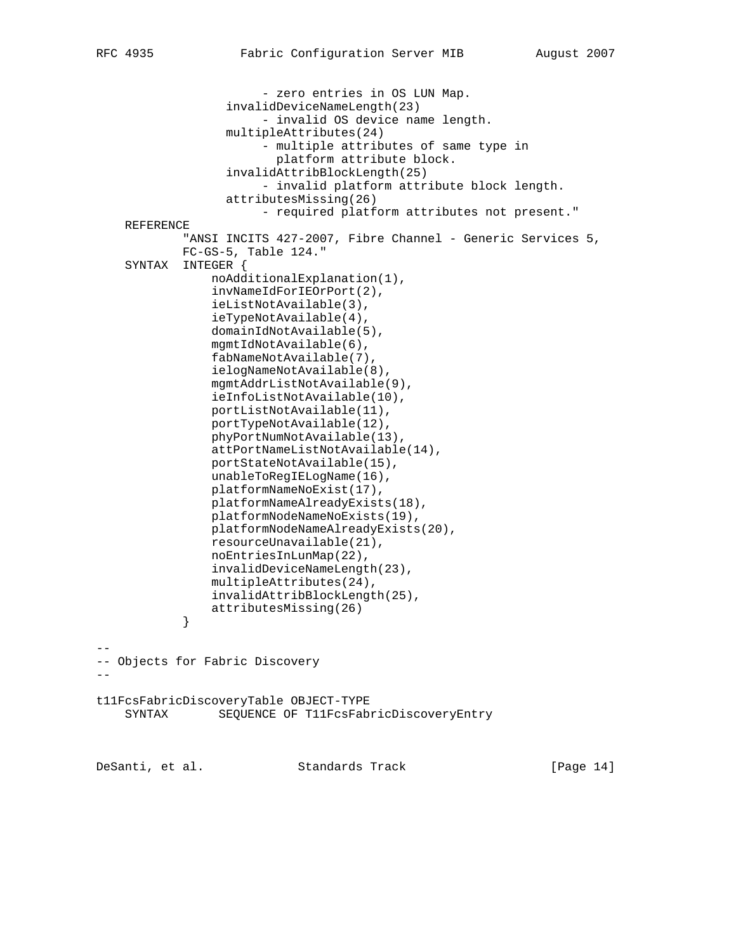- zero entries in OS LUN Map. invalidDeviceNameLength(23) - invalid OS device name length. multipleAttributes(24) - multiple attributes of same type in platform attribute block. invalidAttribBlockLength(25) - invalid platform attribute block length. attributesMissing(26) - required platform attributes not present." REFERENCE "ANSI INCITS 427-2007, Fibre Channel - Generic Services 5, FC-GS-5, Table 124." SYNTAX INTEGER { noAdditionalExplanation(1), invNameIdForIEOrPort(2), ieListNotAvailable(3), ieTypeNotAvailable(4), domainIdNotAvailable(5), mgmtIdNotAvailable(6), fabNameNotAvailable(7), ielogNameNotAvailable(8), mgmtAddrListNotAvailable(9), ieInfoListNotAvailable(10), portListNotAvailable(11), portTypeNotAvailable(12), phyPortNumNotAvailable(13), attPortNameListNotAvailable(14), portStateNotAvailable(15), unableToRegIELogName(16), platformNameNoExist(17), platformNameAlreadyExists(18), platformNodeNameNoExists(19), platformNodeNameAlreadyExists(20), resourceUnavailable(21), noEntriesInLunMap(22), invalidDeviceNameLength(23), multipleAttributes(24), invalidAttribBlockLength(25), attributesMissing(26) } -- -- Objects for Fabric Discovery - t11FcsFabricDiscoveryTable OBJECT-TYPE SYNTAX SEQUENCE OF T11FcsFabricDiscoveryEntry DeSanti, et al. Standards Track [Page 14]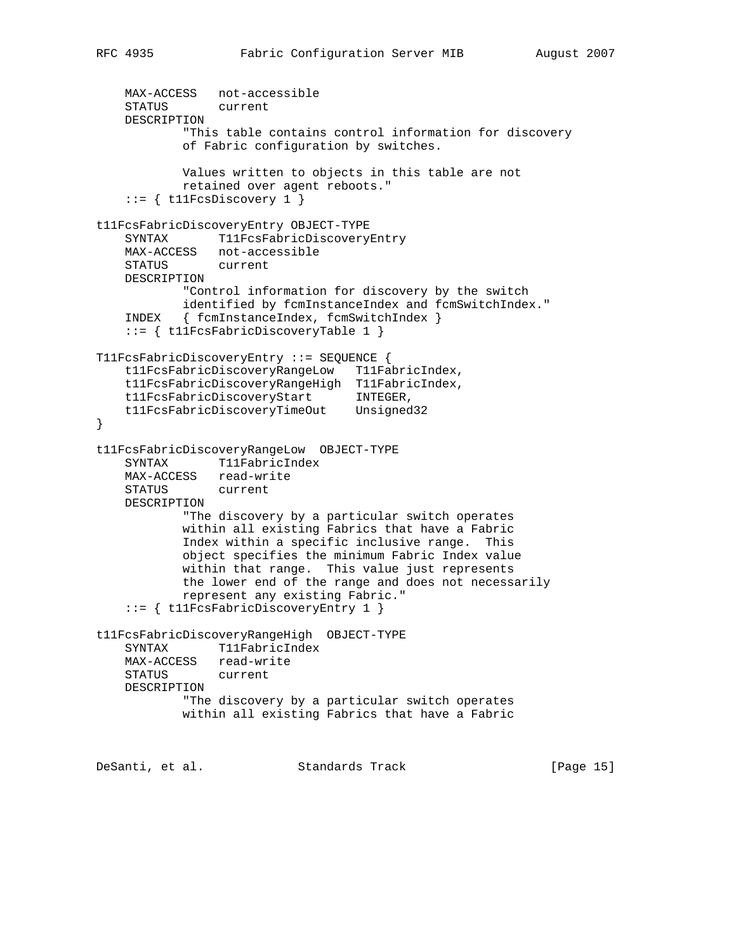```
MAX-ACCESS not-accessible<br>STATUS current
   STATUS
    DESCRIPTION
            "This table contains control information for discovery
            of Fabric configuration by switches.
            Values written to objects in this table are not
            retained over agent reboots."
    ::= { tllFcsDiscovery 1 }
t11FcsFabricDiscoveryEntry OBJECT-TYPE
    SYNTAX T11FcsFabricDiscoveryEntry
    MAX-ACCESS not-accessible
    STATUS current
    DESCRIPTION
            "Control information for discovery by the switch
            identified by fcmInstanceIndex and fcmSwitchIndex."
    INDEX { fcmInstanceIndex, fcmSwitchIndex }
     ::= { t11FcsFabricDiscoveryTable 1 }
T11FcsFabricDiscoveryEntry ::= SEQUENCE {
    t11FcsFabricDiscoveryRangeLow T11FabricIndex,
    t11FcsFabricDiscoveryRangeHigh T11FabricIndex,
 t11FcsFabricDiscoveryStart INTEGER,
 t11FcsFabricDiscoveryTimeOut Unsigned32
}
t11FcsFabricDiscoveryRangeLow OBJECT-TYPE
   SYNTAX T11FabricIndex
    MAX-ACCESS read-write
    STATUS current
    DESCRIPTION
            "The discovery by a particular switch operates
            within all existing Fabrics that have a Fabric
            Index within a specific inclusive range. This
            object specifies the minimum Fabric Index value
            within that range. This value just represents
            the lower end of the range and does not necessarily
            represent any existing Fabric."
     ::= { t11FcsFabricDiscoveryEntry 1 }
t11FcsFabricDiscoveryRangeHigh OBJECT-TYPE
    SYNTAX T11FabricIndex
    MAX-ACCESS read-write
    STATUS current
    DESCRIPTION
            "The discovery by a particular switch operates
            within all existing Fabrics that have a Fabric
DeSanti, et al. Standards Track [Page 15]
```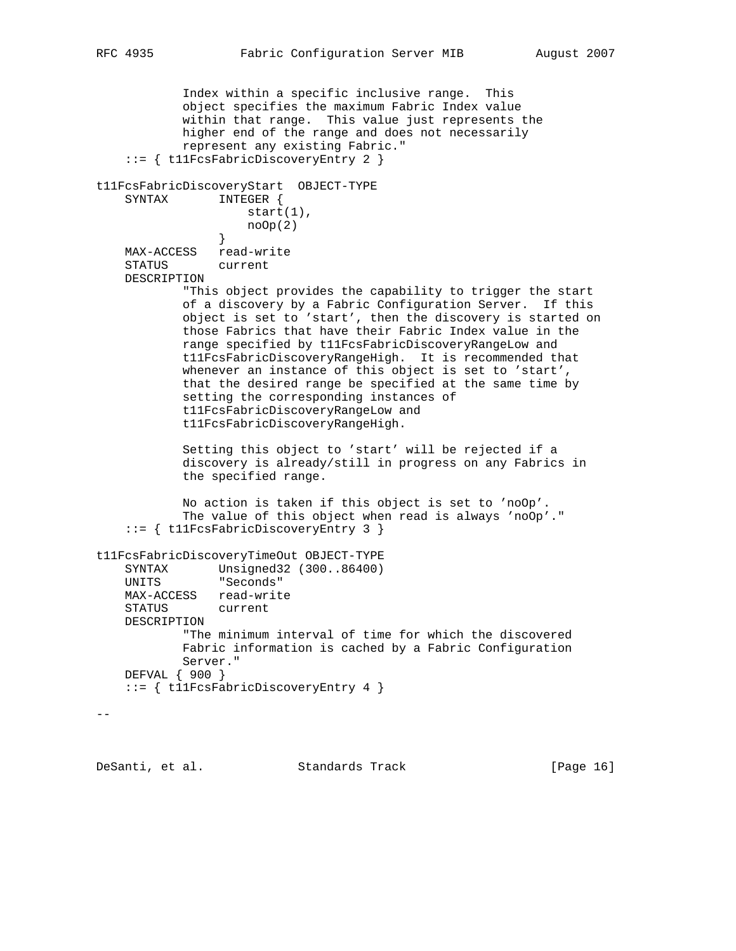```
 Index within a specific inclusive range. This
            object specifies the maximum Fabric Index value
            within that range. This value just represents the
            higher end of the range and does not necessarily
            represent any existing Fabric."
     ::= { t11FcsFabricDiscoveryEntry 2 }
t11FcsFabricDiscoveryStart OBJECT-TYPE
    SYNTAX INTEGER {
                    start(1),
                \text{noOp}(2) }
    MAX-ACCESS read-write
    STATUS current
    DESCRIPTION
            "This object provides the capability to trigger the start
            of a discovery by a Fabric Configuration Server. If this
            object is set to 'start', then the discovery is started on
            those Fabrics that have their Fabric Index value in the
            range specified by t11FcsFabricDiscoveryRangeLow and
            t11FcsFabricDiscoveryRangeHigh. It is recommended that
            whenever an instance of this object is set to 'start',
            that the desired range be specified at the same time by
            setting the corresponding instances of
            t11FcsFabricDiscoveryRangeLow and
            t11FcsFabricDiscoveryRangeHigh.
            Setting this object to 'start' will be rejected if a
            discovery is already/still in progress on any Fabrics in
            the specified range.
            No action is taken if this object is set to 'noOp'.
            The value of this object when read is always 'noOp'."
     ::= { t11FcsFabricDiscoveryEntry 3 }
t11FcsFabricDiscoveryTimeOut OBJECT-TYPE
 SYNTAX Unsigned32 (300..86400)
 UNITS "Seconds"
    MAX-ACCESS read-write
    STATUS current
    DESCRIPTION
            "The minimum interval of time for which the discovered
            Fabric information is cached by a Fabric Configuration
            Server."
    DEFVAL { 900 }
    ::= { t11FcsFabricDiscoveryEntry 4 }
- -
```
DeSanti, et al. Standards Track [Page 16]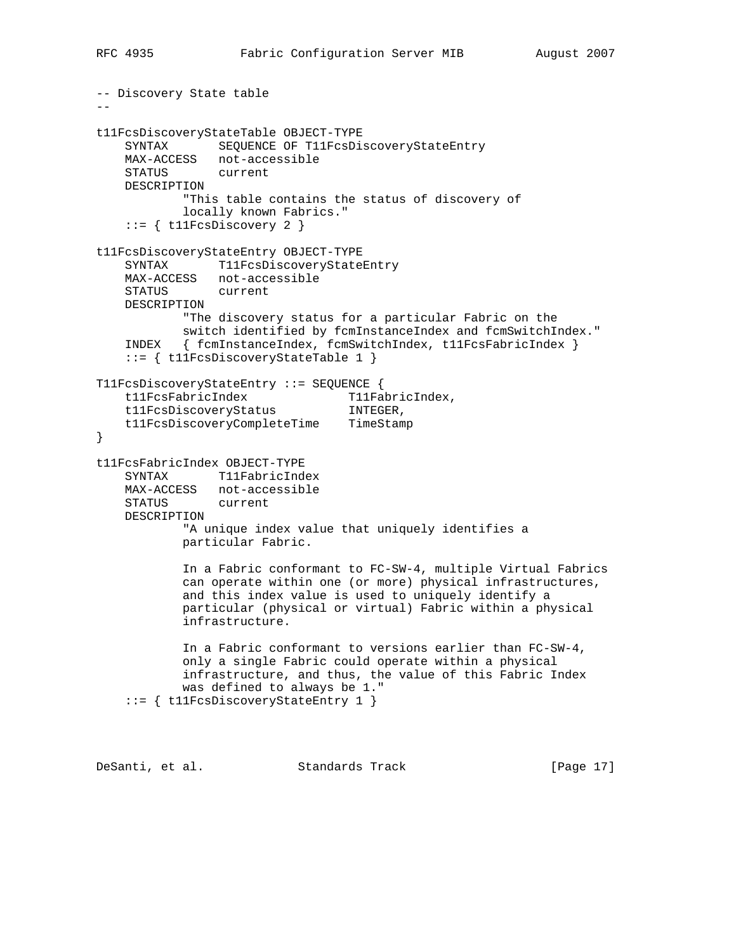```
-- Discovery State table
- -t11FcsDiscoveryStateTable OBJECT-TYPE
    SYNTAX SEQUENCE OF T11FcsDiscoveryStateEntry
    MAX-ACCESS not-accessible
    STATUS current
    DESCRIPTION
            "This table contains the status of discovery of
            locally known Fabrics."
   ::= { t11FcsDiscovery 2 }
t11FcsDiscoveryStateEntry OBJECT-TYPE
    SYNTAX T11FcsDiscoveryStateEntry
    MAX-ACCESS not-accessible
    STATUS current
    DESCRIPTION
            "The discovery status for a particular Fabric on the
           switch identified by fcmInstanceIndex and fcmSwitchIndex."
    INDEX { fcmInstanceIndex, fcmSwitchIndex, t11FcsFabricIndex }
     ::= { t11FcsDiscoveryStateTable 1 }
T11FcsDiscoveryStateEntry ::= SEQUENCE {
t11FcsFabricIndex T11FabricIndex,
 t11FcsDiscoveryStatus INTEGER,
    t11FcsDiscoveryCompleteTime TimeStamp
}
t11FcsFabricIndex OBJECT-TYPE
    SYNTAX T11FabricIndex
    MAX-ACCESS not-accessible
    STATUS current
    DESCRIPTION
            "A unique index value that uniquely identifies a
            particular Fabric.
            In a Fabric conformant to FC-SW-4, multiple Virtual Fabrics
            can operate within one (or more) physical infrastructures,
            and this index value is used to uniquely identify a
            particular (physical or virtual) Fabric within a physical
            infrastructure.
            In a Fabric conformant to versions earlier than FC-SW-4,
            only a single Fabric could operate within a physical
            infrastructure, and thus, the value of this Fabric Index
            was defined to always be 1."
     ::= { t11FcsDiscoveryStateEntry 1 }
```
DeSanti, et al. Standards Track [Page 17]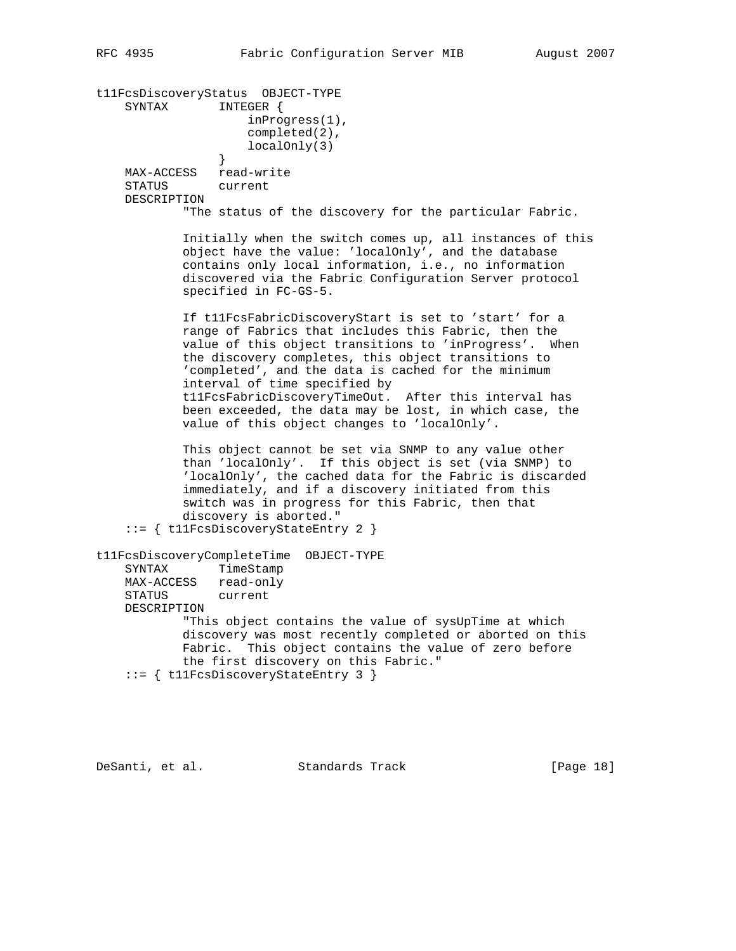t11FcsDiscoveryStatus OBJECT-TYPE SYNTAX INTEGER { inProgress(1), completed(2), localOnly(3) } MAX-ACCESS read-write STATUS current DESCRIPTION "The status of the discovery for the particular Fabric. Initially when the switch comes up, all instances of this object have the value: 'localOnly', and the database contains only local information, i.e., no information discovered via the Fabric Configuration Server protocol specified in FC-GS-5. If t11FcsFabricDiscoveryStart is set to 'start' for a range of Fabrics that includes this Fabric, then the value of this object transitions to 'inProgress'. When the discovery completes, this object transitions to 'completed', and the data is cached for the minimum interval of time specified by t11FcsFabricDiscoveryTimeOut. After this interval has been exceeded, the data may be lost, in which case, the value of this object changes to 'localOnly'. This object cannot be set via SNMP to any value other than 'localOnly'. If this object is set (via SNMP) to 'localOnly', the cached data for the Fabric is discarded immediately, and if a discovery initiated from this switch was in progress for this Fabric, then that discovery is aborted." ::= { t11FcsDiscoveryStateEntry 2 } t11FcsDiscoveryCompleteTime OBJECT-TYPE SYNTAX TimeStamp MAX-ACCESS read-only STATUS current DESCRIPTION "This object contains the value of sysUpTime at which discovery was most recently completed or aborted on this Fabric. This object contains the value of zero before the first discovery on this Fabric." ::= { t11FcsDiscoveryStateEntry 3 }

DeSanti, et al. Standards Track [Page 18]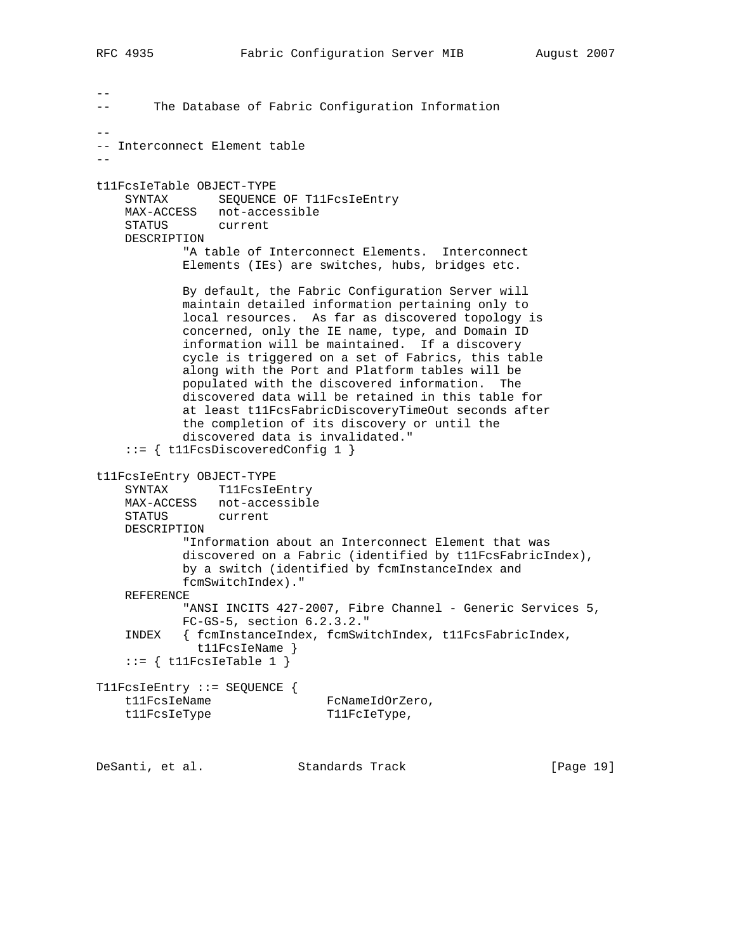$- -$ -- The Database of Fabric Configuration Information -- -- Interconnect Element table - t11FcsIeTable OBJECT-TYPE SYNTAX SEQUENCE OF T11FcsIeEntry MAX-ACCESS not-accessible STATUS current DESCRIPTION "A table of Interconnect Elements. Interconnect Elements (IEs) are switches, hubs, bridges etc. By default, the Fabric Configuration Server will maintain detailed information pertaining only to local resources. As far as discovered topology is concerned, only the IE name, type, and Domain ID information will be maintained. If a discovery cycle is triggered on a set of Fabrics, this table along with the Port and Platform tables will be populated with the discovered information. The discovered data will be retained in this table for at least t11FcsFabricDiscoveryTimeOut seconds after the completion of its discovery or until the discovered data is invalidated." ::= { t11FcsDiscoveredConfig 1 } t11FcsIeEntry OBJECT-TYPE SYNTAX T11FcsIeEntry MAX-ACCESS not-accessible STATUS current DESCRIPTION "Information about an Interconnect Element that was discovered on a Fabric (identified by t11FcsFabricIndex), by a switch (identified by fcmInstanceIndex and fcmSwitchIndex)." REFERENCE "ANSI INCITS 427-2007, Fibre Channel - Generic Services 5, FC-GS-5, section 6.2.3.2." INDEX { fcmInstanceIndex, fcmSwitchIndex, t11FcsFabricIndex, t11FcsIeName }  $::=$  { t11FcsIeTable 1 } T11FcsIeEntry ::= SEQUENCE { t11FcsIeName FcNameIdOrZero, tl1FcsIeType T11FcIeType,

DeSanti, et al. Standards Track [Page 19]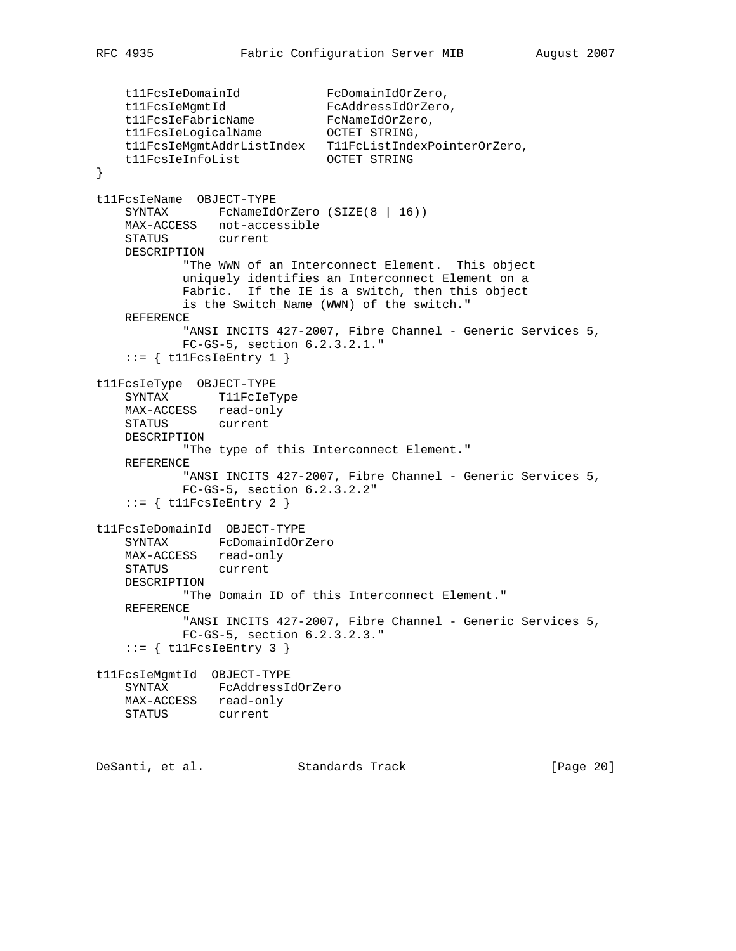```
 t11FcsIeDomainId FcDomainIdOrZero,
t11FcsIeMgmtId FcAddressIdOrZero,
t11FcsIeFabricName FcNameIdOrZero,
 t11FcsIeLogicalName OCTET STRING,
 t11FcsIeMgmtAddrListIndex T11FcListIndexPointerOrZero,
    t11FcsIeInfoList OCTET STRING
}
t11FcsIeName OBJECT-TYPE
   SYNTAX FcNameIdOrZero (SIZE(8 | 16))
    MAX-ACCESS not-accessible
    STATUS current
    DESCRIPTION
           "The WWN of an Interconnect Element. This object
           uniquely identifies an Interconnect Element on a
           Fabric. If the IE is a switch, then this object
           is the Switch_Name (WWN) of the switch."
    REFERENCE
          "ANSI INCITS 427-2007, Fibre Channel - Generic Services 5,
           FC-GS-5, section 6.2.3.2.1."
   ::= { t11FcsIeEntry 1 }
t11FcsIeType OBJECT-TYPE
    SYNTAX T11FcIeType
   MAX-ACCESS read-only
 STATUS current
 DESCRIPTION
           "The type of this Interconnect Element."
    REFERENCE
          "ANSI INCITS 427-2007, Fibre Channel - Generic Services 5,
           FC-GS-5, section 6.2.3.2.2"
   ::= { t11FcsIeEntry 2 }
t11FcsIeDomainId OBJECT-TYPE
    SYNTAX FcDomainIdOrZero
 MAX-ACCESS read-only
 STATUS current
    DESCRIPTION
           "The Domain ID of this Interconnect Element."
    REFERENCE
          "ANSI INCITS 427-2007, Fibre Channel - Generic Services 5,
           FC-GS-5, section 6.2.3.2.3."
   ::= { t11FcsIeEntry 3 }
t11FcsIeMgmtId OBJECT-TYPE
    SYNTAX FcAddressIdOrZero
    MAX-ACCESS read-only
    STATUS current
DeSanti, et al. Standards Track [Page 20]
```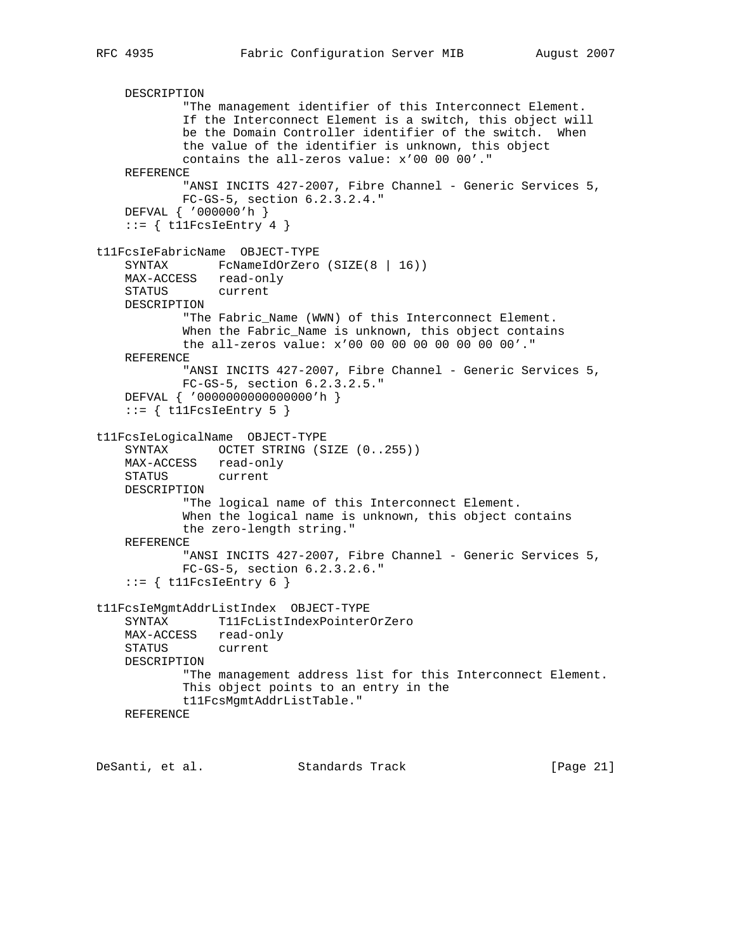DESCRIPTION "The management identifier of this Interconnect Element. If the Interconnect Element is a switch, this object will be the Domain Controller identifier of the switch. When the value of the identifier is unknown, this object contains the all-zeros value: x'00 00 00'." REFERENCE "ANSI INCITS 427-2007, Fibre Channel - Generic Services 5, FC-GS-5, section 6.2.3.2.4." DEFVAL { '000000'h }  $::=$  { t11FcsIeEntry 4 } t11FcsIeFabricName OBJECT-TYPE SYNTAX FcNameIdOrZero (SIZE(8 | 16)) MAX-ACCESS read-only STATUS current DESCRIPTION "The Fabric\_Name (WWN) of this Interconnect Element. When the Fabric\_Name is unknown, this object contains the all-zeros value: x'00 00 00 00 00 00 00 00'." REFERENCE "ANSI INCITS 427-2007, Fibre Channel - Generic Services 5, FC-GS-5, section 6.2.3.2.5." DEFVAL { '0000000000000000'h }  $::=$  { tllFcsIeEntry 5 } t11FcsIeLogicalName OBJECT-TYPE SYNTAX OCTET STRING (SIZE (0..255)) MAX-ACCESS read-only STATUS current DESCRIPTION "The logical name of this Interconnect Element. When the logical name is unknown, this object contains the zero-length string." REFERENCE "ANSI INCITS 427-2007, Fibre Channel - Generic Services 5, FC-GS-5, section 6.2.3.2.6."  $::=$  { t11FcsIeEntry 6 } t11FcsIeMgmtAddrListIndex OBJECT-TYPE SYNTAX T11FcListIndexPointerOrZero MAX-ACCESS read-only STATUS current DESCRIPTION "The management address list for this Interconnect Element. This object points to an entry in the t11FcsMgmtAddrListTable." REFERENCE

DeSanti, et al. Standards Track [Page 21]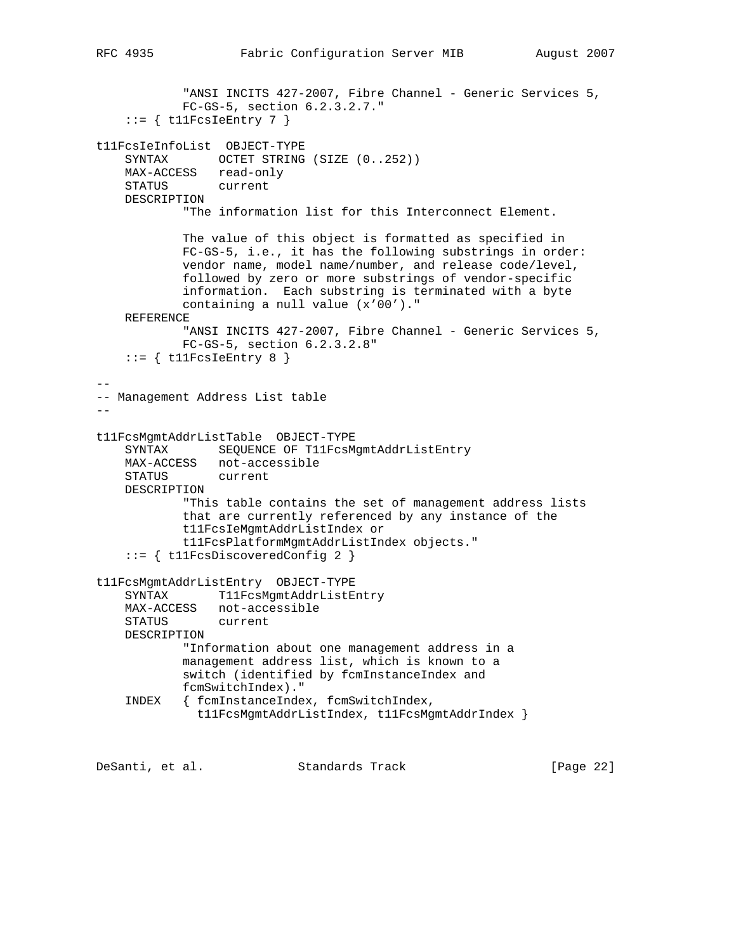```
"ANSI INCITS 427-2007, Fibre Channel - Generic Services 5,
            FC-GS-5, section 6.2.3.2.7."
    ::= { tllFcsIeEntry 7 }
t11FcsIeInfoList OBJECT-TYPE
    SYNTAX OCTET STRING (SIZE (0..252))
    MAX-ACCESS read-only
    STATUS current
    DESCRIPTION
            "The information list for this Interconnect Element.
            The value of this object is formatted as specified in
            FC-GS-5, i.e., it has the following substrings in order:
            vendor name, model name/number, and release code/level,
            followed by zero or more substrings of vendor-specific
            information. Each substring is terminated with a byte
            containing a null value (x'00')."
    REFERENCE
           "ANSI INCITS 427-2007, Fibre Channel - Generic Services 5,
            FC-GS-5, section 6.2.3.2.8"
    ::= { t11FcsIeEntry 8 }
--
-- Management Address List table
-t11FcsMgmtAddrListTable OBJECT-TYPE
     SYNTAX SEQUENCE OF T11FcsMgmtAddrListEntry
    MAX-ACCESS not-accessible
    STATUS current
    DESCRIPTION
            "This table contains the set of management address lists
            that are currently referenced by any instance of the
            t11FcsIeMgmtAddrListIndex or
            t11FcsPlatformMgmtAddrListIndex objects."
     ::= { t11FcsDiscoveredConfig 2 }
t11FcsMgmtAddrListEntry OBJECT-TYPE
    SYNTAX T11FcsMgmtAddrListEntry
    MAX-ACCESS not-accessible
    STATUS current
    DESCRIPTION
            "Information about one management address in a
            management address list, which is known to a
            switch (identified by fcmInstanceIndex and
            fcmSwitchIndex)."
     INDEX { fcmInstanceIndex, fcmSwitchIndex,
              t11FcsMgmtAddrListIndex, t11FcsMgmtAddrIndex }
```
DeSanti, et al. Standards Track [Page 22]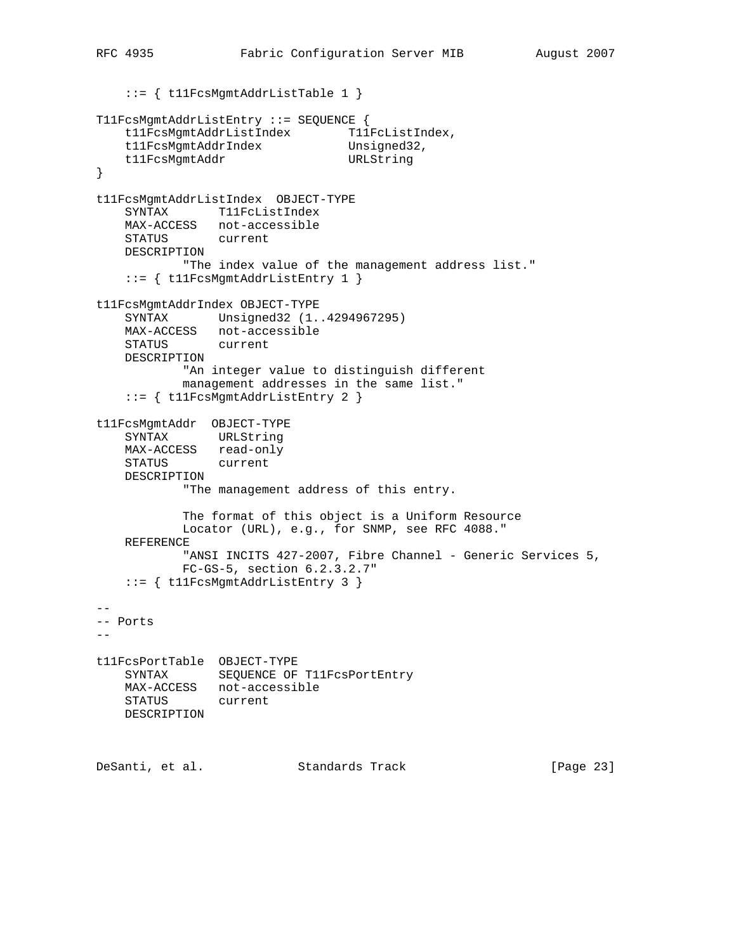```
 ::= { t11FcsMgmtAddrListTable 1 }
T11FcsMgmtAddrListEntry ::= SEQUENCE {
   t11FcsMgmtAddrListIndex T11FcListIndex,
   t11FcsMgmtAddrIndex Unsigned32,
    t11FcsMgmtAddr URLString
}
t11FcsMgmtAddrListIndex OBJECT-TYPE
    SYNTAX T11FcListIndex
   MAX-ACCESS not-accessible<br>STATUS current
   STATUS
    DESCRIPTION
         "The index value of the management address list."
    ::= { t11FcsMgmtAddrListEntry 1 }
t11FcsMgmtAddrIndex OBJECT-TYPE
    SYNTAX Unsigned32 (1..4294967295)
    MAX-ACCESS not-accessible
    STATUS current
    DESCRIPTION
           "An integer value to distinguish different
            management addresses in the same list."
     ::= { t11FcsMgmtAddrListEntry 2 }
t11FcsMgmtAddr OBJECT-TYPE
 SYNTAX URLString
 MAX-ACCESS read-only
    STATUS current
    DESCRIPTION
            "The management address of this entry.
            The format of this object is a Uniform Resource
            Locator (URL), e.g., for SNMP, see RFC 4088."
    REFERENCE
           "ANSI INCITS 427-2007, Fibre Channel - Generic Services 5,
            FC-GS-5, section 6.2.3.2.7"
    ::= { t11FcsMgmtAddrListEntry 3 }
--
-- Ports
- -t11FcsPortTable OBJECT-TYPE
   SYNTAX SEQUENCE OF T11FcsPortEntry
    MAX-ACCESS not-accessible
    STATUS current
    DESCRIPTION
DeSanti, et al. Standards Track [Page 23]
```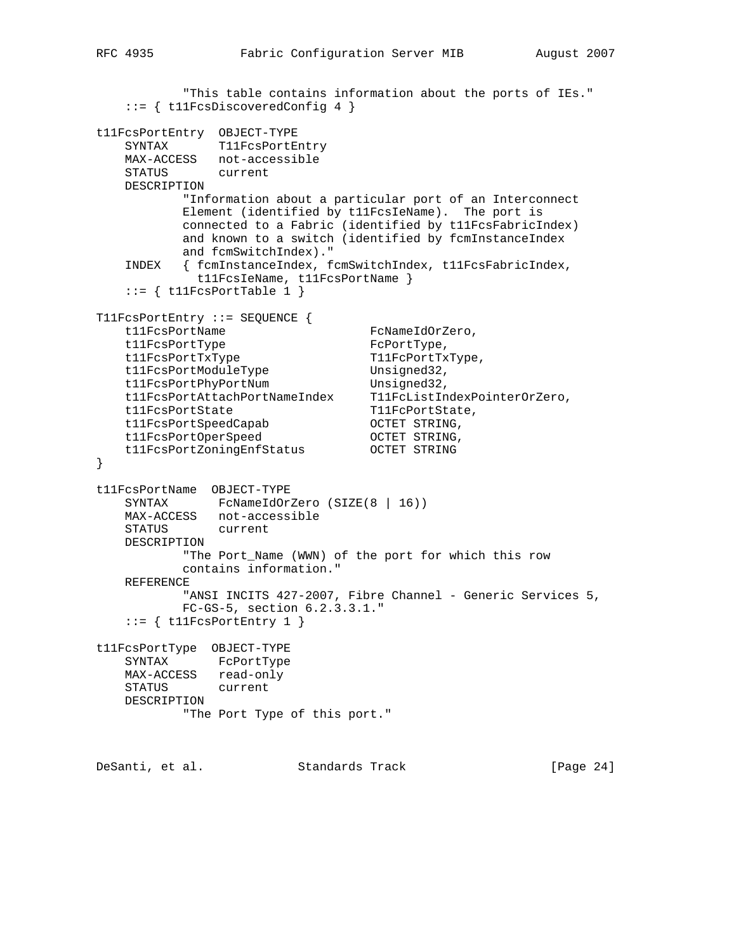```
 "This table contains information about the ports of IEs."
    ::= { t11FcsDiscoveredConfig 4 }
t11FcsPortEntry OBJECT-TYPE
   SYNTAX T11FcsPortEntry
    MAX-ACCESS not-accessible
    STATUS current
    DESCRIPTION
           "Information about a particular port of an Interconnect
           Element (identified by t11FcsIeName). The port is
           connected to a Fabric (identified by t11FcsFabricIndex)
           and known to a switch (identified by fcmInstanceIndex
           and fcmSwitchIndex)."
    INDEX { fcmInstanceIndex, fcmSwitchIndex, t11FcsFabricIndex,
             t11FcsIeName, t11FcsPortName }
   ::= { t11FcsPortTable 1 }
T11FcsPortEntry ::= SEQUENCE {
   t11FcsPortName FcNameIdOrZero,
    t11FcsPortType FcPortType,
t11FcsPortTxType T11FcPortTxType,
t11FcsPortModuleType Unsigned32,
t11FcsPortPhyPortNum Unsigned32,
 t11FcsPortAttachPortNameIndex T11FcListIndexPointerOrZero,
t11FcsPortState T11FcPortState,
 t11FcsPortSpeedCapab OCTET STRING,
t11FcsPortOperSpeed OCTET STRING,
 t11FcsPortZoningEnfStatus OCTET STRING
}
t11FcsPortName OBJECT-TYPE
   SYNTAX FcNameIdOrZero (SIZE(8 | 16))
    MAX-ACCESS not-accessible
    STATUS current
    DESCRIPTION
           "The Port_Name (WWN) of the port for which this row
           contains information."
    REFERENCE
          "ANSI INCITS 427-2007, Fibre Channel - Generic Services 5,
           FC-GS-5, section 6.2.3.3.1."
   ::= { t11FcsPortEntry 1 }
t11FcsPortType OBJECT-TYPE
    SYNTAX FcPortType
    MAX-ACCESS read-only
    STATUS current
    DESCRIPTION
           "The Port Type of this port."
DeSanti, et al. Standards Track [Page 24]
```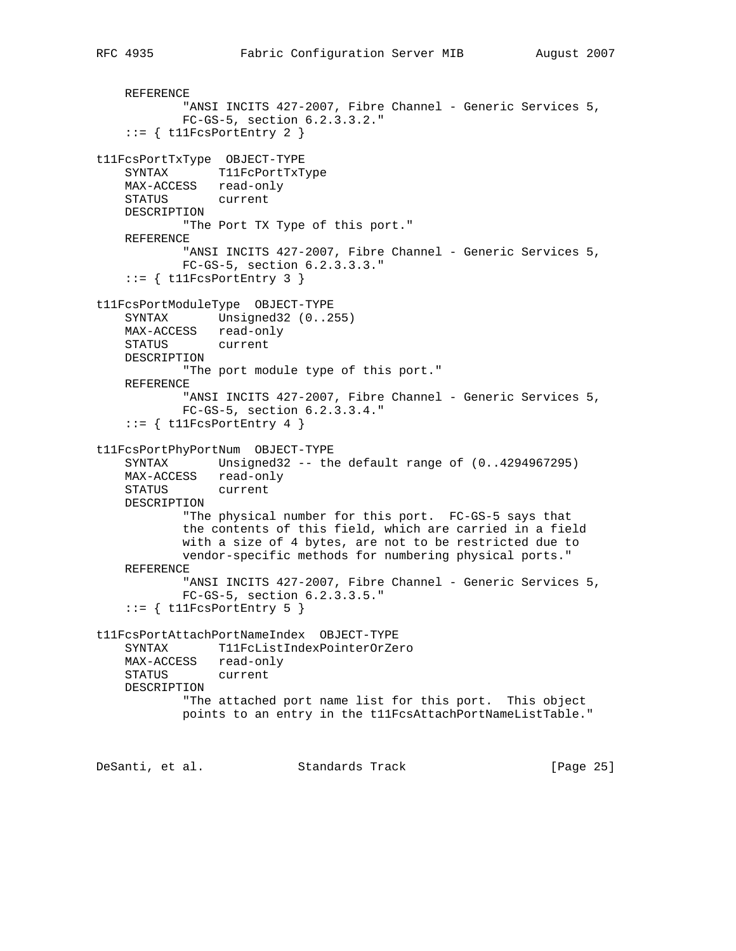```
 REFERENCE
           "ANSI INCITS 427-2007, Fibre Channel - Generic Services 5,
            FC-GS-5, section 6.2.3.3.2."
    ::= { t11FcsPortEntry 2 }
t11FcsPortTxType OBJECT-TYPE
    SYNTAX T11FcPortTxType
    MAX-ACCESS read-only
    STATUS current
    DESCRIPTION
            "The Port TX Type of this port."
    REFERENCE
           "ANSI INCITS 427-2007, Fibre Channel - Generic Services 5,
            FC-GS-5, section 6.2.3.3.3."
    ::= { t11FcsPortEntry 3 }
t11FcsPortModuleType OBJECT-TYPE
   SYNTAX Unsigned32 (0..255)
    MAX-ACCESS read-only
    STATUS current
    DESCRIPTION
            "The port module type of this port."
    REFERENCE
           "ANSI INCITS 427-2007, Fibre Channel - Generic Services 5,
            FC-GS-5, section 6.2.3.3.4."
    ::= { t11FcsPortEntry 4 }
t11FcsPortPhyPortNum OBJECT-TYPE
    SYNTAX Unsigned32 -- the default range of (0..4294967295)
    MAX-ACCESS read-only
    STATUS current
    DESCRIPTION
            "The physical number for this port. FC-GS-5 says that
            the contents of this field, which are carried in a field
            with a size of 4 bytes, are not to be restricted due to
            vendor-specific methods for numbering physical ports."
    REFERENCE
           "ANSI INCITS 427-2007, Fibre Channel - Generic Services 5,
            FC-GS-5, section 6.2.3.3.5."
    ::= { t11FcsPortEntry 5 }
t11FcsPortAttachPortNameIndex OBJECT-TYPE
    SYNTAX T11FcListIndexPointerOrZero
```
 MAX-ACCESS read-only STATUS current DESCRIPTION "The attached port name list for this port. This object points to an entry in the t11FcsAttachPortNameListTable."

DeSanti, et al. Standards Track [Page 25]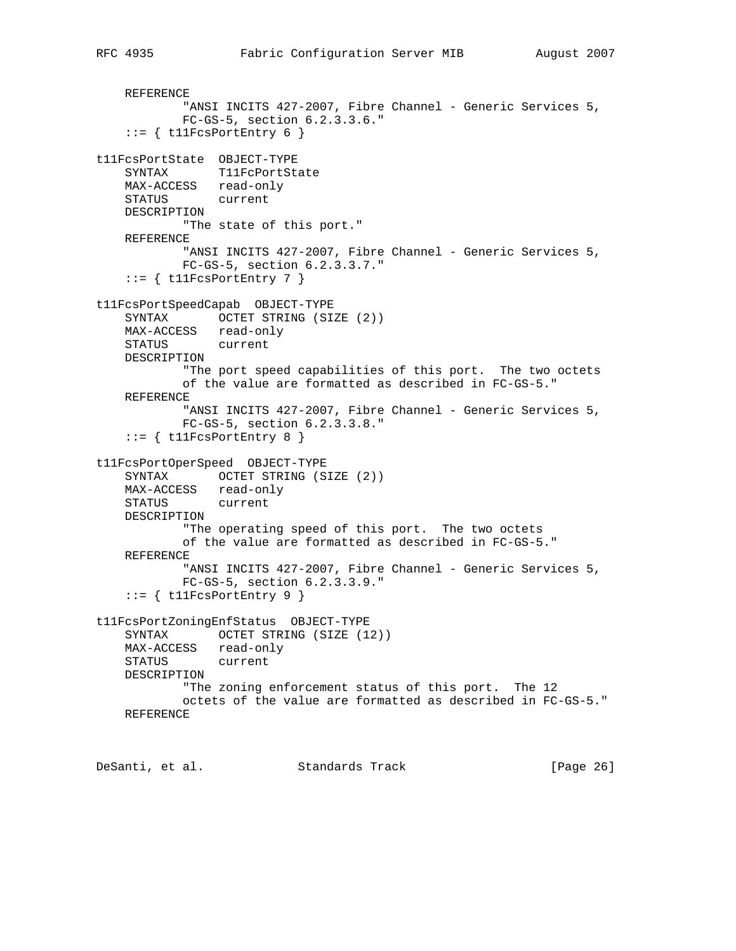```
"ANSI INCITS 427-2007, Fibre Channel - Generic Services 5,
            FC-GS-5, section 6.2.3.3.6."
    ::= { t11FcsPortEntry 6 }
t11FcsPortState OBJECT-TYPE
    SYNTAX T11FcPortState
    MAX-ACCESS read-only
    STATUS current
    DESCRIPTION
            "The state of this port."
    REFERENCE
           "ANSI INCITS 427-2007, Fibre Channel - Generic Services 5,
            FC-GS-5, section 6.2.3.3.7."
    ::= { tllFcsPortEntry 7 }
t11FcsPortSpeedCapab OBJECT-TYPE
   SYNTAX OCTET STRING (SIZE (2))
    MAX-ACCESS read-only
    STATUS current
    DESCRIPTION
            "The port speed capabilities of this port. The two octets
            of the value are formatted as described in FC-GS-5."
    REFERENCE
           "ANSI INCITS 427-2007, Fibre Channel - Generic Services 5,
            FC-GS-5, section 6.2.3.3.8."
    ::= { t11FcsPortEntry 8 }
t11FcsPortOperSpeed OBJECT-TYPE
     SYNTAX OCTET STRING (SIZE (2))
    MAX-ACCESS read-only
    STATUS current
    DESCRIPTION
            "The operating speed of this port. The two octets
            of the value are formatted as described in FC-GS-5."
    REFERENCE
            "ANSI INCITS 427-2007, Fibre Channel - Generic Services 5,
            FC-GS-5, section 6.2.3.3.9."
    ::= { tllFcsPortEntry 9 }
t11FcsPortZoningEnfStatus OBJECT-TYPE
   SYNTAX OCTET STRING (SIZE (12))
   MAX-ACCESS read-only<br>STATUS current
              current
    DESCRIPTION
             "The zoning enforcement status of this port. The 12
            octets of the value are formatted as described in FC-GS-5."
    REFERENCE
```
DeSanti, et al. Standards Track [Page 26]

REFERENCE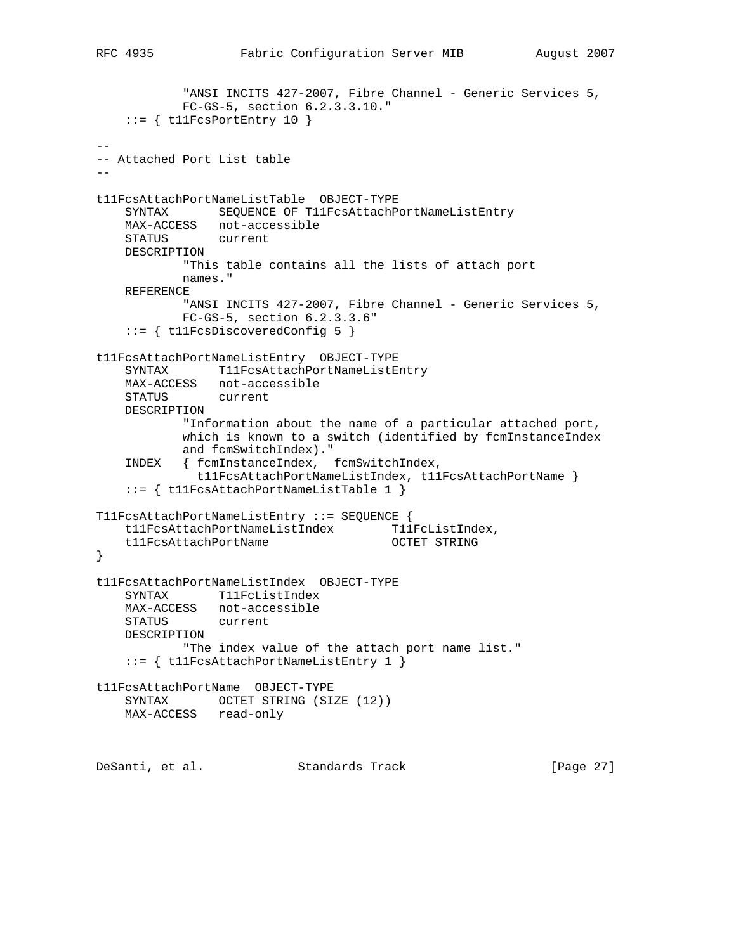```
"ANSI INCITS 427-2007, Fibre Channel - Generic Services 5,
            FC-GS-5, section 6.2.3.3.10."
    ::= { t11FcsPortEntry 10 }
--
-- Attached Port List table
--
t11FcsAttachPortNameListTable OBJECT-TYPE
    SYNTAX SEQUENCE OF T11FcsAttachPortNameListEntry
   MAX-ACCESS not-accessible<br>STATUS current
   STATUS
    DESCRIPTION
            "This table contains all the lists of attach port
            names."
    REFERENCE
           "ANSI INCITS 427-2007, Fibre Channel - Generic Services 5,
            FC-GS-5, section 6.2.3.3.6"
    ::= { t11FcsDiscoveredConfig 5 }
t11FcsAttachPortNameListEntry OBJECT-TYPE
    SYNTAX T11FcsAttachPortNameListEntry
    MAX-ACCESS not-accessible
    STATUS current
    DESCRIPTION
            "Information about the name of a particular attached port,
            which is known to a switch (identified by fcmInstanceIndex
            and fcmSwitchIndex)."
    INDEX { fcmInstanceIndex, fcmSwitchIndex,
              t11FcsAttachPortNameListIndex, t11FcsAttachPortName }
     ::= { t11FcsAttachPortNameListTable 1 }
T11FcsAttachPortNameListEntry ::= SEQUENCE {
   t11FcsAttachPortNameListIndex T11FcListIndex,
    t11FcsAttachPortName OCTET STRING
}
t11FcsAttachPortNameListIndex OBJECT-TYPE
    SYNTAX T11FcListIndex
    MAX-ACCESS not-accessible
    STATUS current
    DESCRIPTION
            "The index value of the attach port name list."
    ::= { t11FcsAttachPortNameListEntry 1 }
t11FcsAttachPortName OBJECT-TYPE
   SYNTAX OCTET STRING (SIZE (12))
    MAX-ACCESS read-only
```
DeSanti, et al. Standards Track [Page 27]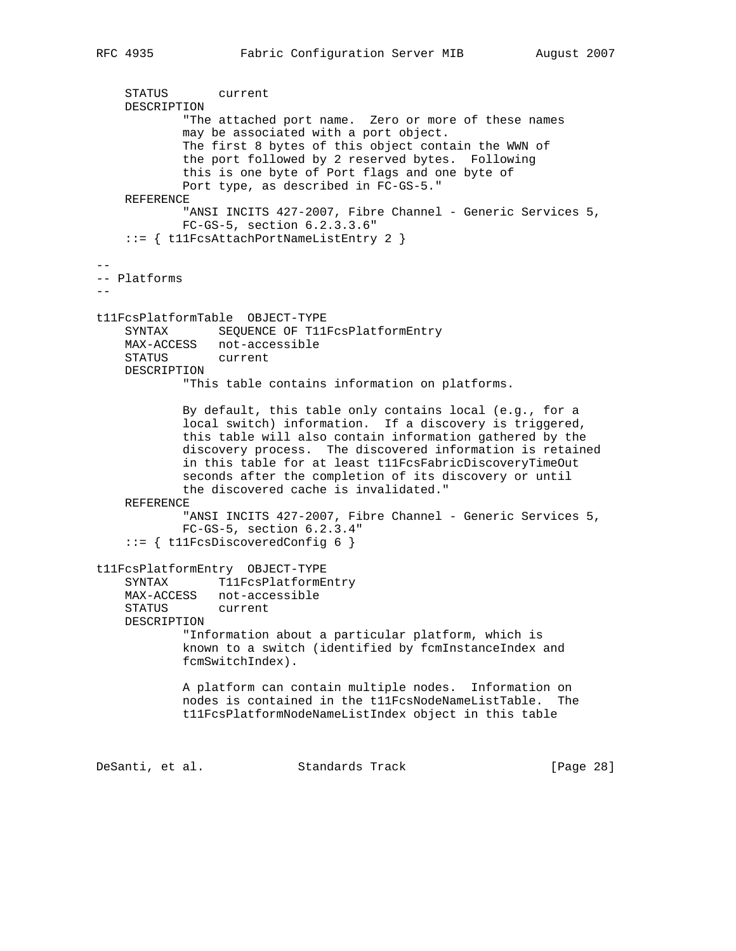STATUS current DESCRIPTION "The attached port name. Zero or more of these names may be associated with a port object. The first 8 bytes of this object contain the WWN of the port followed by 2 reserved bytes. Following this is one byte of Port flags and one byte of Port type, as described in FC-GS-5." REFERENCE "ANSI INCITS 427-2007, Fibre Channel - Generic Services 5, FC-GS-5, section 6.2.3.3.6" ::= { t11FcsAttachPortNameListEntry 2 } -- -- Platforms - t11FcsPlatformTable OBJECT-TYPE SYNTAX SEQUENCE OF T11FcsPlatformEntry MAX-ACCESS not-accessible STATUS current DESCRIPTION "This table contains information on platforms. By default, this table only contains local (e.g., for a local switch) information. If a discovery is triggered, this table will also contain information gathered by the discovery process. The discovered information is retained in this table for at least t11FcsFabricDiscoveryTimeOut seconds after the completion of its discovery or until the discovered cache is invalidated." REFERENCE "ANSI INCITS 427-2007, Fibre Channel - Generic Services 5, FC-GS-5, section 6.2.3.4" ::= { t11FcsDiscoveredConfig 6 } t11FcsPlatformEntry OBJECT-TYPE SYNTAX T11FcsPlatformEntry MAX-ACCESS not-accessible STATUS current DESCRIPTION "Information about a particular platform, which is known to a switch (identified by fcmInstanceIndex and fcmSwitchIndex). A platform can contain multiple nodes. Information on nodes is contained in the t11FcsNodeNameListTable. The t11FcsPlatformNodeNameListIndex object in this table DeSanti, et al. Standards Track [Page 28]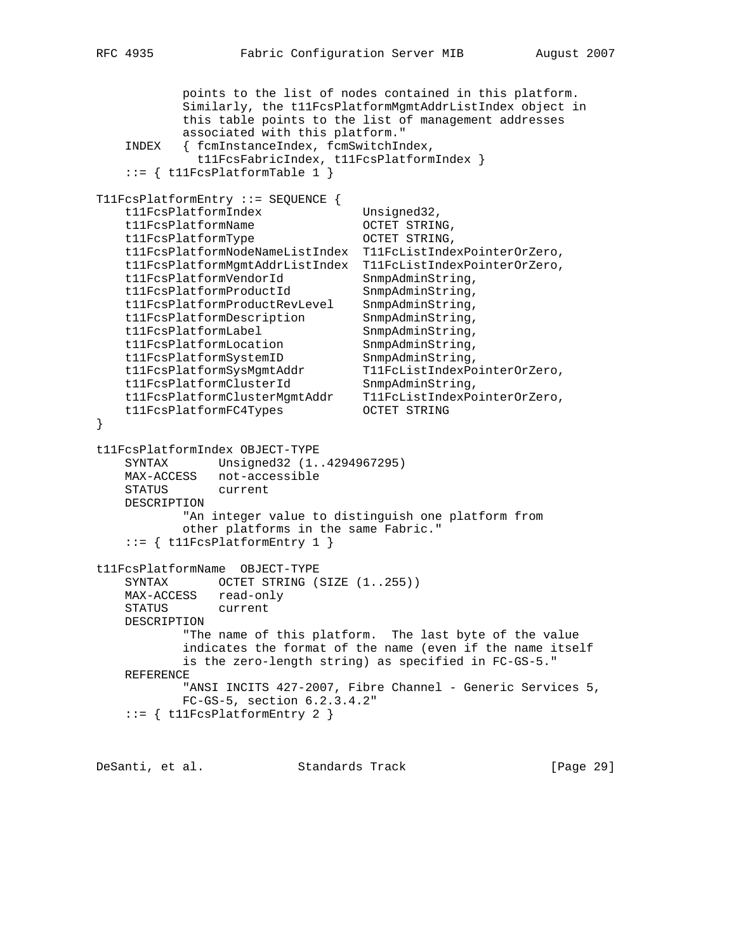```
 points to the list of nodes contained in this platform.
            Similarly, the t11FcsPlatformMgmtAddrListIndex object in
            this table points to the list of management addresses
            associated with this platform."
    INDEX { fcmInstanceIndex, fcmSwitchIndex,
              t11FcsFabricIndex, t11FcsPlatformIndex }
    ::= { t11FcsPlatformTable 1 }
T11FcsPlatformEntry ::= SEQUENCE {
   t11FcsPlatformIndex Unsigned32,
   t11FcsPlatformName OCTET STRING,
   t11FcsPlatformType 0CTET STRING,<br>t11FcsPlatformNodeNameListIndex T11FcListIndexPointerOrZero,
 t11FcsPlatformNodeNameListIndex T11FcListIndexPointerOrZero,
 t11FcsPlatformMgmtAddrListIndex T11FcListIndexPointerOrZero,
 t11FcsPlatformVendorId SnmpAdminString,
t11FcsPlatformProductId SnmpAdminString,
 t11FcsPlatformProductRevLevel SnmpAdminString,
 t11FcsPlatformDescription SnmpAdminString,
t11FcsPlatformLabel SnmpAdminString,
t11FcsPlatformLocation SnmpAdminString,
t11FcsPlatformSystemID SnmpAdminString,
 t11FcsPlatformSysMgmtAddr T11FcListIndexPointerOrZero,
t11FcsPlatformClusterId SnmpAdminString,
 t11FcsPlatformClusterMgmtAddr T11FcListIndexPointerOrZero,
 t11FcsPlatformFC4Types OCTET STRING
}
t11FcsPlatformIndex OBJECT-TYPE
    SYNTAX Unsigned32 (1..4294967295)
    MAX-ACCESS not-accessible
    STATUS current
    DESCRIPTION
            "An integer value to distinguish one platform from
            other platforms in the same Fabric."
   ::= { t11FcsPlatformEntry 1 }
t11FcsPlatformName OBJECT-TYPE
   SYNTAX OCTET STRING (SIZE (1..255))
   MAX-ACCESS read-only<br>STATUS current
              current
    DESCRIPTION
            "The name of this platform. The last byte of the value
            indicates the format of the name (even if the name itself
            is the zero-length string) as specified in FC-GS-5."
    REFERENCE
           "ANSI INCITS 427-2007, Fibre Channel - Generic Services 5,
            FC-GS-5, section 6.2.3.4.2"
    ::= { t11FcsPlatformEntry 2 }
```
DeSanti, et al. Standards Track [Page 29]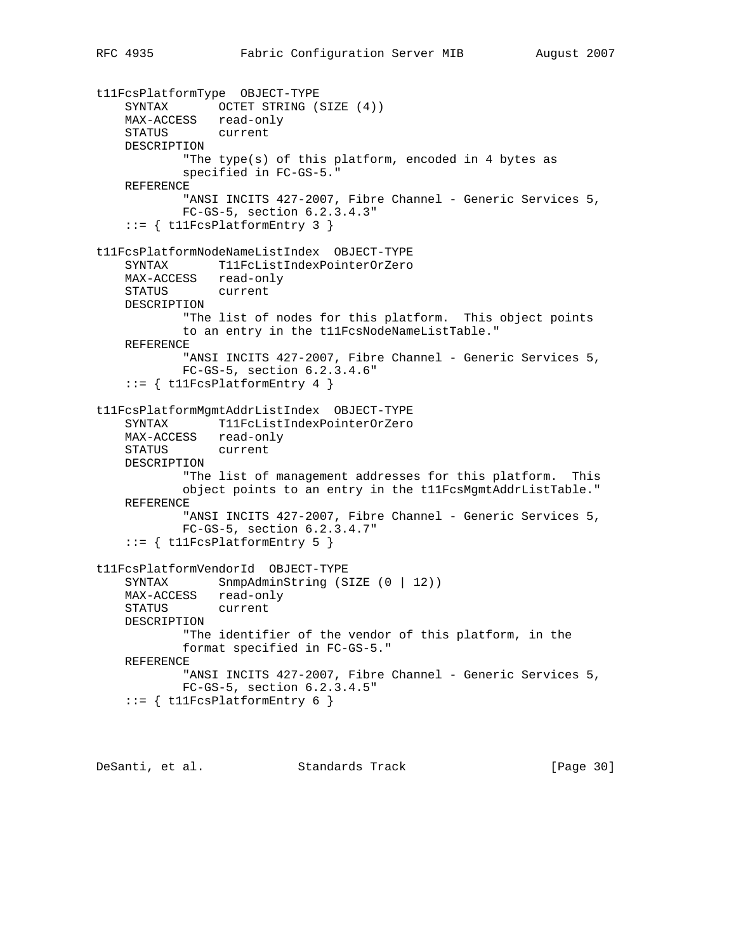```
t11FcsPlatformType OBJECT-TYPE
 SYNTAX OCTET STRING (SIZE (4))
 MAX-ACCESS read-only
 STATUS current
    DESCRIPTION
            "The type(s) of this platform, encoded in 4 bytes as
            specified in FC-GS-5."
    REFERENCE
           "ANSI INCITS 427-2007, Fibre Channel - Generic Services 5,
            FC-GS-5, section 6.2.3.4.3"
    ::= { t11FcsPlatformEntry 3 }
t11FcsPlatformNodeNameListIndex OBJECT-TYPE
    SYNTAX T11FcListIndexPointerOrZero
    MAX-ACCESS read-only
    STATUS current
    DESCRIPTION
            "The list of nodes for this platform. This object points
            to an entry in the t11FcsNodeNameListTable."
    REFERENCE
           "ANSI INCITS 427-2007, Fibre Channel - Generic Services 5,
            FC-GS-5, section 6.2.3.4.6"
    ::= { t11FcsPlatformEntry 4 }
t11FcsPlatformMgmtAddrListIndex OBJECT-TYPE
    SYNTAX T11FcListIndexPointerOrZero
    MAX-ACCESS read-only
    STATUS current
    DESCRIPTION
            "The list of management addresses for this platform. This
            object points to an entry in the t11FcsMgmtAddrListTable."
    REFERENCE
           "ANSI INCITS 427-2007, Fibre Channel - Generic Services 5,
            FC-GS-5, section 6.2.3.4.7"
    ::= { t11FcsPlatformEntry 5 }
t11FcsPlatformVendorId OBJECT-TYPE
   SYNTAX SnmpAdminString (SIZE (0 | 12))
 MAX-ACCESS read-only
 STATUS current
    DESCRIPTION
            "The identifier of the vendor of this platform, in the
            format specified in FC-GS-5."
    REFERENCE
           "ANSI INCITS 427-2007, Fibre Channel - Generic Services 5,
            FC-GS-5, section 6.2.3.4.5"
    ::= { t11FcsPlatformEntry 6 }
```
DeSanti, et al. Standards Track [Page 30]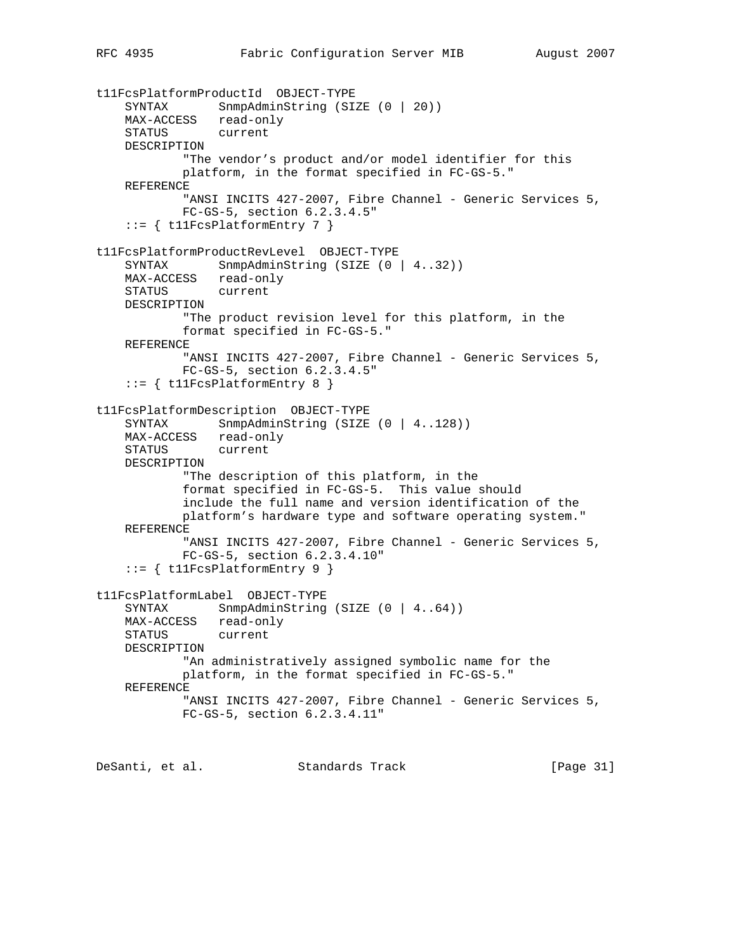```
t11FcsPlatformProductId OBJECT-TYPE
 SYNTAX SnmpAdminString (SIZE (0 | 20))
 MAX-ACCESS read-only
 STATUS current
    DESCRIPTION
            "The vendor's product and/or model identifier for this
            platform, in the format specified in FC-GS-5."
    REFERENCE
           "ANSI INCITS 427-2007, Fibre Channel - Generic Services 5,
            FC-GS-5, section 6.2.3.4.5"
    ::= { t11FcsPlatformEntry 7 }
t11FcsPlatformProductRevLevel OBJECT-TYPE
   SYNTAX SnmpAdminString (SIZE (0 | 4..32))
    MAX-ACCESS read-only
    STATUS current
    DESCRIPTION
            "The product revision level for this platform, in the
            format specified in FC-GS-5."
    REFERENCE
           "ANSI INCITS 427-2007, Fibre Channel - Generic Services 5,
            FC-GS-5, section 6.2.3.4.5"
    ::= { t11FcsPlatformEntry 8 }
t11FcsPlatformDescription OBJECT-TYPE
   SYNTAX SnmpAdminString (SIZE (0 | 4..128))
    MAX-ACCESS read-only
    STATUS current
    DESCRIPTION
            "The description of this platform, in the
            format specified in FC-GS-5. This value should
            include the full name and version identification of the
            platform's hardware type and software operating system."
    REFERENCE
           "ANSI INCITS 427-2007, Fibre Channel - Generic Services 5,
            FC-GS-5, section 6.2.3.4.10"
     ::= { t11FcsPlatformEntry 9 }
t11FcsPlatformLabel OBJECT-TYPE
   SYNTAX SnmpAdminString (SIZE (0 | 4..64))
    MAX-ACCESS read-only
    STATUS current
    DESCRIPTION
            "An administratively assigned symbolic name for the
            platform, in the format specified in FC-GS-5."
    REFERENCE
           "ANSI INCITS 427-2007, Fibre Channel - Generic Services 5,
            FC-GS-5, section 6.2.3.4.11"
```
DeSanti, et al. Standards Track [Page 31]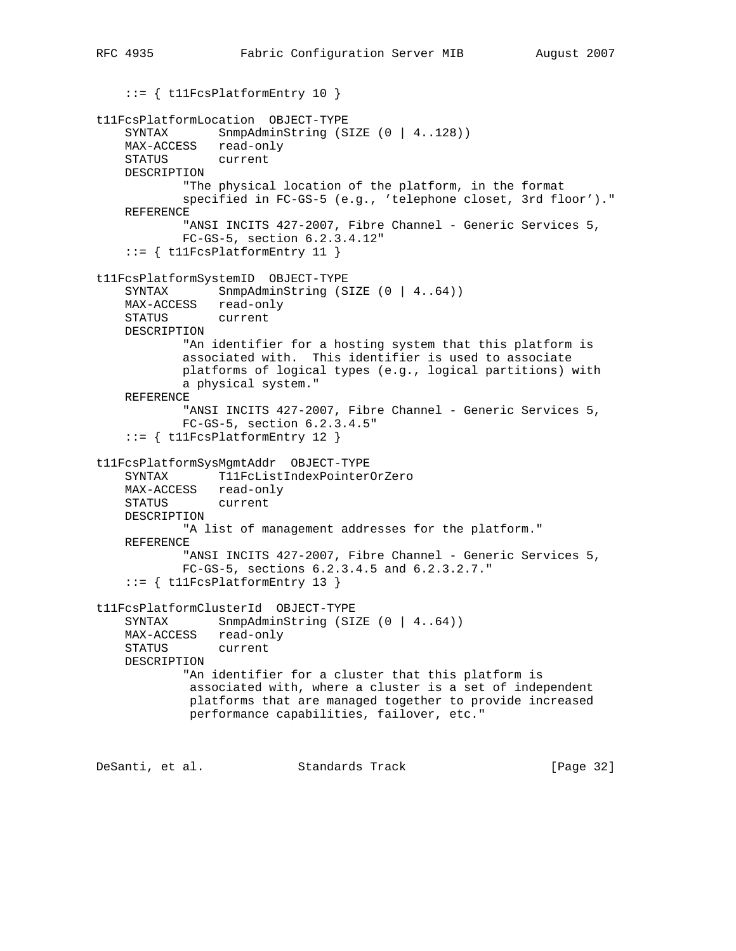```
 ::= { t11FcsPlatformEntry 10 }
t11FcsPlatformLocation OBJECT-TYPE
    SYNTAX SnmpAdminString (SIZE (0 | 4..128))
    MAX-ACCESS read-only
    STATUS current
    DESCRIPTION
            "The physical location of the platform, in the format
            specified in FC-GS-5 (e.g., 'telephone closet, 3rd floor')."
    REFERENCE
           "ANSI INCITS 427-2007, Fibre Channel - Generic Services 5,
            FC-GS-5, section 6.2.3.4.12"
     ::= { t11FcsPlatformEntry 11 }
t11FcsPlatformSystemID OBJECT-TYPE
    SYNTAX SnmpAdminString (SIZE (0 | 4..64))
    MAX-ACCESS read-only
    STATUS current
    DESCRIPTION
            "An identifier for a hosting system that this platform is
            associated with. This identifier is used to associate
            platforms of logical types (e.g., logical partitions) with
            a physical system."
    REFERENCE
           "ANSI INCITS 427-2007, Fibre Channel - Generic Services 5,
            FC-GS-5, section 6.2.3.4.5"
     ::= { t11FcsPlatformEntry 12 }
t11FcsPlatformSysMgmtAddr OBJECT-TYPE
     SYNTAX T11FcListIndexPointerOrZero
    MAX-ACCESS read-only
    STATUS current
    DESCRIPTION
            "A list of management addresses for the platform."
    REFERENCE
           "ANSI INCITS 427-2007, Fibre Channel - Generic Services 5,
            FC-GS-5, sections 6.2.3.4.5 and 6.2.3.2.7."
     ::= { t11FcsPlatformEntry 13 }
t11FcsPlatformClusterId OBJECT-TYPE
    SYNTAX SnmpAdminString (SIZE (0 | 4..64))
    MAX-ACCESS read-only
    STATUS current
    DESCRIPTION
            "An identifier for a cluster that this platform is
             associated with, where a cluster is a set of independent
             platforms that are managed together to provide increased
             performance capabilities, failover, etc."
DeSanti, et al. Standards Track [Page 32]
```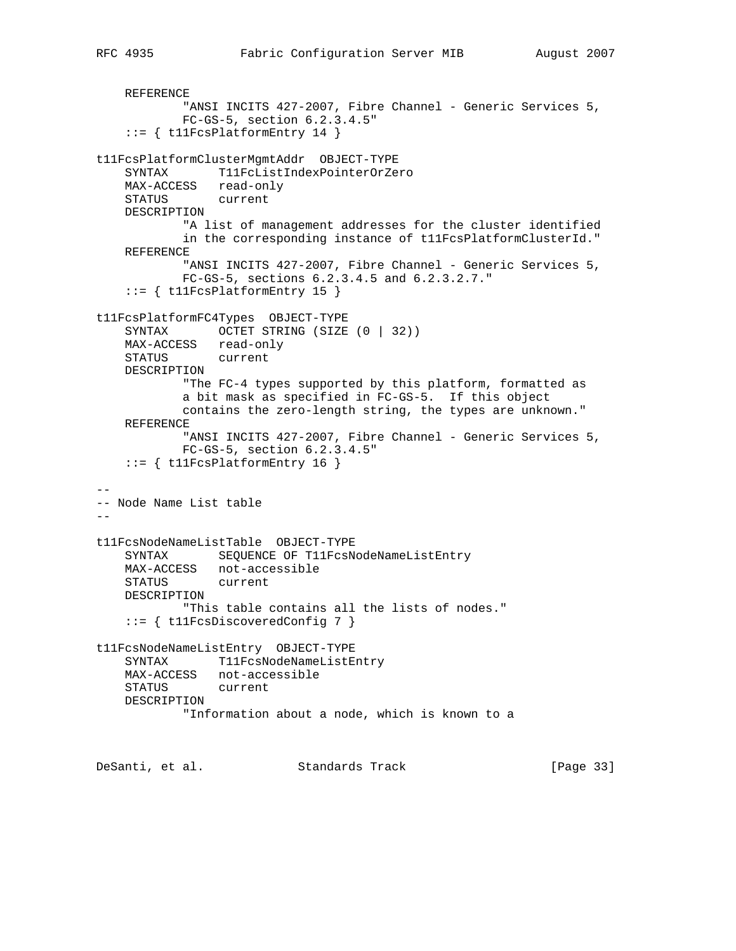```
 REFERENCE
           "ANSI INCITS 427-2007, Fibre Channel - Generic Services 5,
            FC-GS-5, section 6.2.3.4.5"
     ::= { t11FcsPlatformEntry 14 }
t11FcsPlatformClusterMgmtAddr OBJECT-TYPE
    SYNTAX T11FcListIndexPointerOrZero
    MAX-ACCESS read-only
    STATUS current
    DESCRIPTION
            "A list of management addresses for the cluster identified
            in the corresponding instance of t11FcsPlatformClusterId."
    REFERENCE
           "ANSI INCITS 427-2007, Fibre Channel - Generic Services 5,
            FC-GS-5, sections 6.2.3.4.5 and 6.2.3.2.7."
     ::= { t11FcsPlatformEntry 15 }
t11FcsPlatformFC4Types OBJECT-TYPE
   SYNTAX OCTET STRING (SIZE (0 | 32))
    MAX-ACCESS read-only
    STATUS current
    DESCRIPTION
             "The FC-4 types supported by this platform, formatted as
            a bit mask as specified in FC-GS-5. If this object
            contains the zero-length string, the types are unknown."
    REFERENCE
           "ANSI INCITS 427-2007, Fibre Channel - Generic Services 5,
            FC-GS-5, section 6.2.3.4.5"
    ::= { t11FcsPlatformEntry 16 }
--
-- Node Name List table
--
t11FcsNodeNameListTable OBJECT-TYPE
    SYNTAX SEQUENCE OF T11FcsNodeNameListEntry
    MAX-ACCESS not-accessible
    STATUS current
    DESCRIPTION
            "This table contains all the lists of nodes."
     ::= { t11FcsDiscoveredConfig 7 }
t11FcsNodeNameListEntry OBJECT-TYPE
   SYNTAX T11FcsNodeNameListEntry
    MAX-ACCESS not-accessible
    STATUS current
    DESCRIPTION
            "Information about a node, which is known to a
```
DeSanti, et al. Standards Track [Page 33]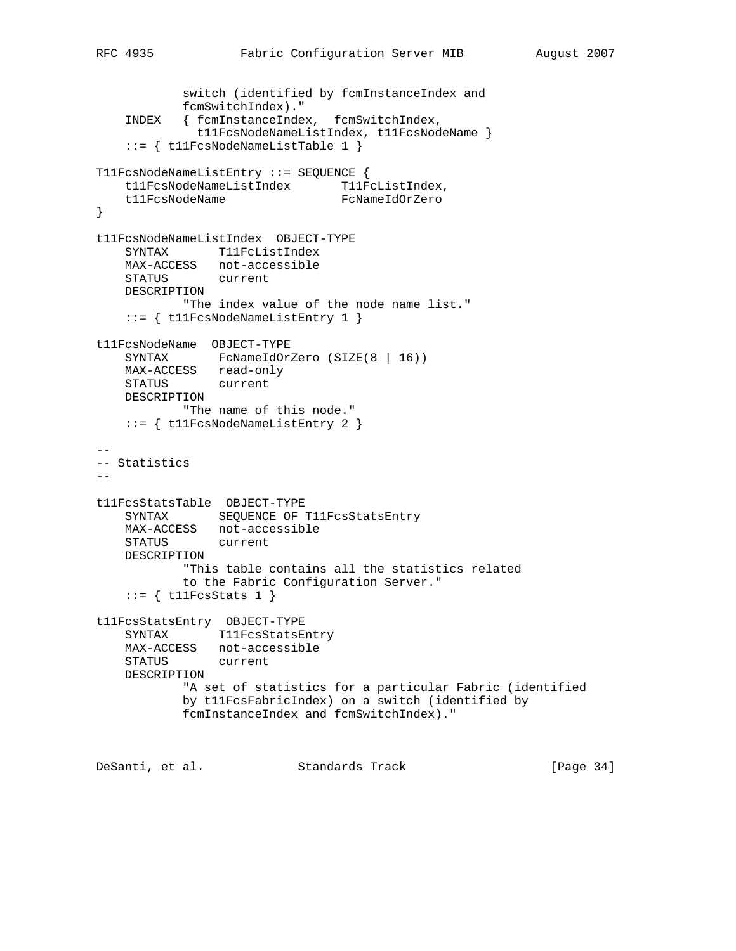switch (identified by fcmInstanceIndex and

```
 fcmSwitchIndex)."
    INDEX { fcmInstanceIndex, fcmSwitchIndex,
              t11FcsNodeNameListIndex, t11FcsNodeName }
    ::= { t11FcsNodeNameListTable 1 }
T11FcsNodeNameListEntry ::= SEQUENCE {
  t11FcsNodeNameListIndex T11FcListIndex,
   t11FcsNodeName FcNameIdOrZero
}
t11FcsNodeNameListIndex OBJECT-TYPE
    SYNTAX T11FcListIndex
    MAX-ACCESS not-accessible
    STATUS current
    DESCRIPTION
           "The index value of the node name list."
    ::= { t11FcsNodeNameListEntry 1 }
t11FcsNodeName OBJECT-TYPE
   SYNTAX FcNameIdOrZero (SIZE(8 | 16))
    MAX-ACCESS read-only
    STATUS current
    DESCRIPTION
           "The name of this node."
    ::= { t11FcsNodeNameListEntry 2 }
--
-- Statistics
--
t11FcsStatsTable OBJECT-TYPE
   SYNTAX SEQUENCE OF T11FcsStatsEntry
    MAX-ACCESS not-accessible
    STATUS current
    DESCRIPTION
           "This table contains all the statistics related
           to the Fabric Configuration Server."
   ::= { t11FcsStats 1 }
t11FcsStatsEntry OBJECT-TYPE
   SYNTAX T11FcsStatsEntry
    MAX-ACCESS not-accessible
    STATUS current
    DESCRIPTION
            "A set of statistics for a particular Fabric (identified
            by t11FcsFabricIndex) on a switch (identified by
            fcmInstanceIndex and fcmSwitchIndex)."
```
DeSanti, et al. Standards Track [Page 34]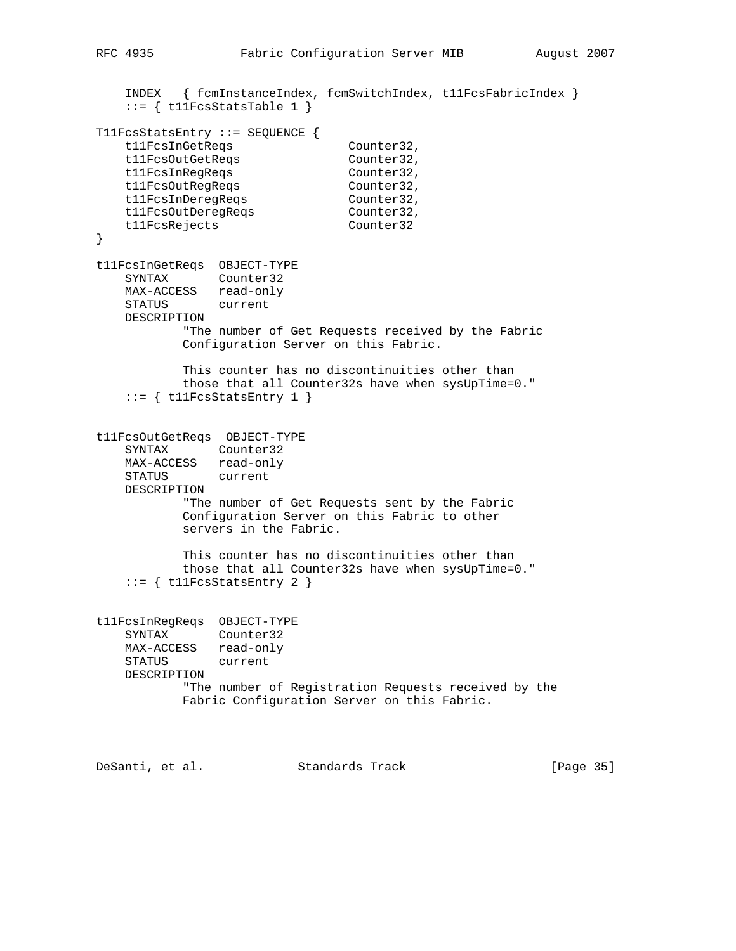```
 INDEX { fcmInstanceIndex, fcmSwitchIndex, t11FcsFabricIndex }
   ::= { t11FcsStatsTable 1 }
T11FcsStatsEntry ::= SEQUENCE {
t11FcsInGetReqs Counter32,
t11FcsOutGetReqs Counter32,
t11FcsInRegReqs Counter32,
t11FcsOutRegReqs Counter32,
t11FcsInDeregReqs Counter32,
t11FcsOutDeregReqs    Counter32,
 t11FcsRejects Counter32
}
t11FcsInGetReqs OBJECT-TYPE
    SYNTAX Counter32
    MAX-ACCESS read-only
    STATUS current
    DESCRIPTION
           "The number of Get Requests received by the Fabric
           Configuration Server on this Fabric.
           This counter has no discontinuities other than
           those that all Counter32s have when sysUpTime=0."
   ::= { t11FcsStatsEntry 1 }
t11FcsOutGetReqs OBJECT-TYPE
    SYNTAX Counter32
    MAX-ACCESS read-only
    STATUS current
    DESCRIPTION
           "The number of Get Requests sent by the Fabric
           Configuration Server on this Fabric to other
           servers in the Fabric.
           This counter has no discontinuities other than
           those that all Counter32s have when sysUpTime=0."
   ::= { t11FcsStatsEntry 2 }
t11FcsInRegReqs OBJECT-TYPE
    SYNTAX Counter32
    MAX-ACCESS read-only
    STATUS current
    DESCRIPTION
           "The number of Registration Requests received by the
           Fabric Configuration Server on this Fabric.
```
DeSanti, et al. Standards Track [Page 35]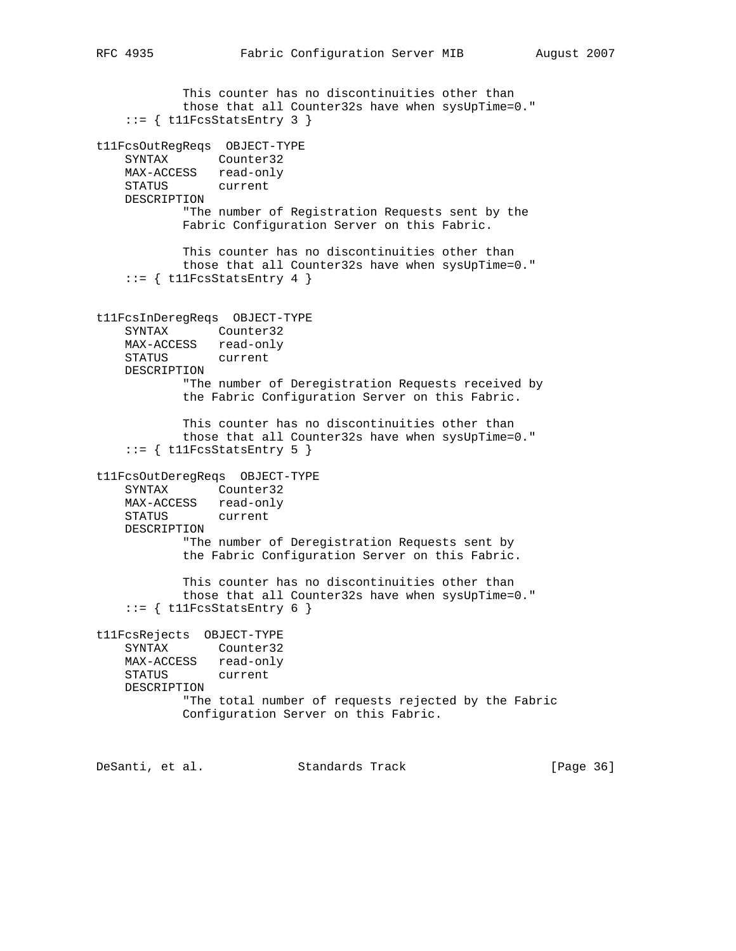This counter has no discontinuities other than those that all Counter32s have when sysUpTime=0."  $::=$  { t11FcsStatsEntry 3 } t11FcsOutRegReqs OBJECT-TYPE SYNTAX Counter32 MAX-ACCESS read-only STATUS current DESCRIPTION "The number of Registration Requests sent by the Fabric Configuration Server on this Fabric. This counter has no discontinuities other than those that all Counter32s have when sysUpTime=0."  $::=$  { t11FcsStatsEntry 4 } t11FcsInDeregReqs OBJECT-TYPE SYNTAX Counter32 MAX-ACCESS read-only STATUS current DESCRIPTION "The number of Deregistration Requests received by the Fabric Configuration Server on this Fabric. This counter has no discontinuities other than those that all Counter32s have when sysUpTime=0."  $::=$  { t11FcsStatsEntry 5 } t11FcsOutDeregReqs OBJECT-TYPE SYNTAX Counter32 MAX-ACCESS read-only STATUS current DESCRIPTION "The number of Deregistration Requests sent by the Fabric Configuration Server on this Fabric. This counter has no discontinuities other than those that all Counter32s have when sysUpTime=0."  $::=$  { t11FcsStatsEntry 6 } t11FcsRejects OBJECT-TYPE SYNTAX Counter32 MAX-ACCESS read-only STATUS current DESCRIPTION "The total number of requests rejected by the Fabric Configuration Server on this Fabric.

DeSanti, et al. Standards Track [Page 36]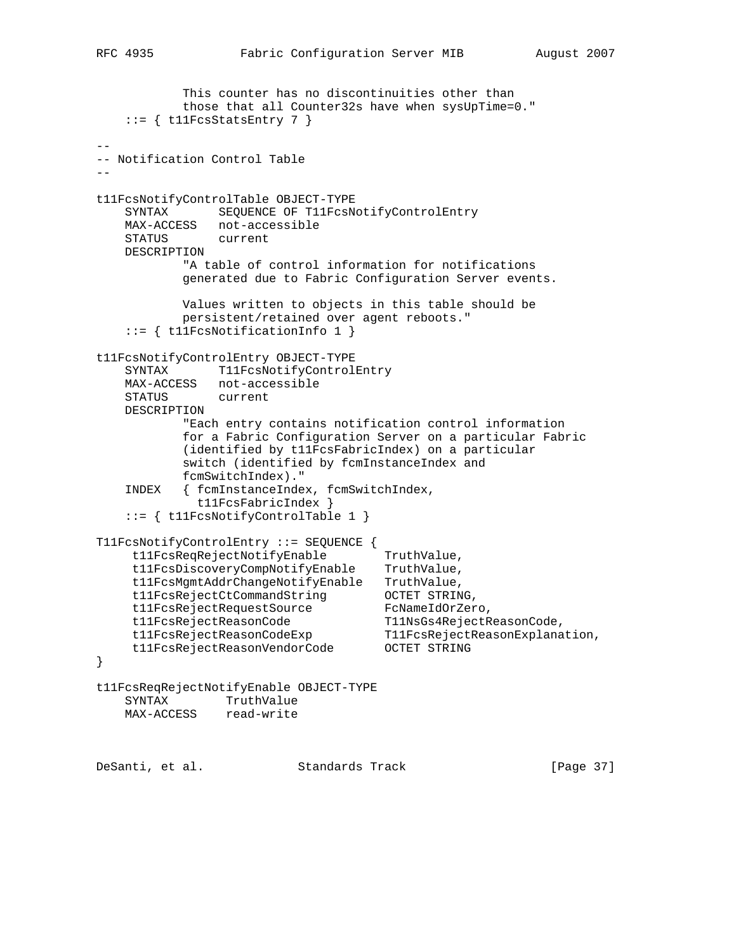```
 This counter has no discontinuities other than
            those that all Counter32s have when sysUpTime=0."
   ::= { t11FcsStatsEntry 7 }
--
-- Notification Control Table
--
t11FcsNotifyControlTable OBJECT-TYPE
    SYNTAX SEQUENCE OF T11FcsNotifyControlEntry
    MAX-ACCESS not-accessible
   STATUS
    DESCRIPTION
           "A table of control information for notifications
           generated due to Fabric Configuration Server events.
           Values written to objects in this table should be
           persistent/retained over agent reboots."
    ::= { t11FcsNotificationInfo 1 }
t11FcsNotifyControlEntry OBJECT-TYPE
   SYNTAX T11FcsNotifyControlEntry
    MAX-ACCESS not-accessible
    STATUS current
    DESCRIPTION
           "Each entry contains notification control information
            for a Fabric Configuration Server on a particular Fabric
            (identified by t11FcsFabricIndex) on a particular
            switch (identified by fcmInstanceIndex and
           fcmSwitchIndex)."
    INDEX { fcmInstanceIndex, fcmSwitchIndex,
             t11FcsFabricIndex }
    ::= { t11FcsNotifyControlTable 1 }
T11FcsNotifyControlEntry ::= SEQUENCE {
 t11FcsReqRejectNotifyEnable TruthValue,
 t11FcsDiscoveryCompNotifyEnable TruthValue,
 t11FcsMgmtAddrChangeNotifyEnable TruthValue,
 t11FcsRejectCtCommandString OCTET STRING,
 t11FcsRejectRequestSource FcNameIdOrZero,
 t11FcsRejectReasonCode T11NsGs4RejectReasonCode,
 t11FcsRejectReasonCodeExp T11FcsRejectReasonExplanation,
 t11FcsRejectReasonVendorCode OCTET STRING
}
t11FcsReqRejectNotifyEnable OBJECT-TYPE
    SYNTAX TruthValue
    MAX-ACCESS read-write
DeSanti, et al. Standards Track [Page 37]
```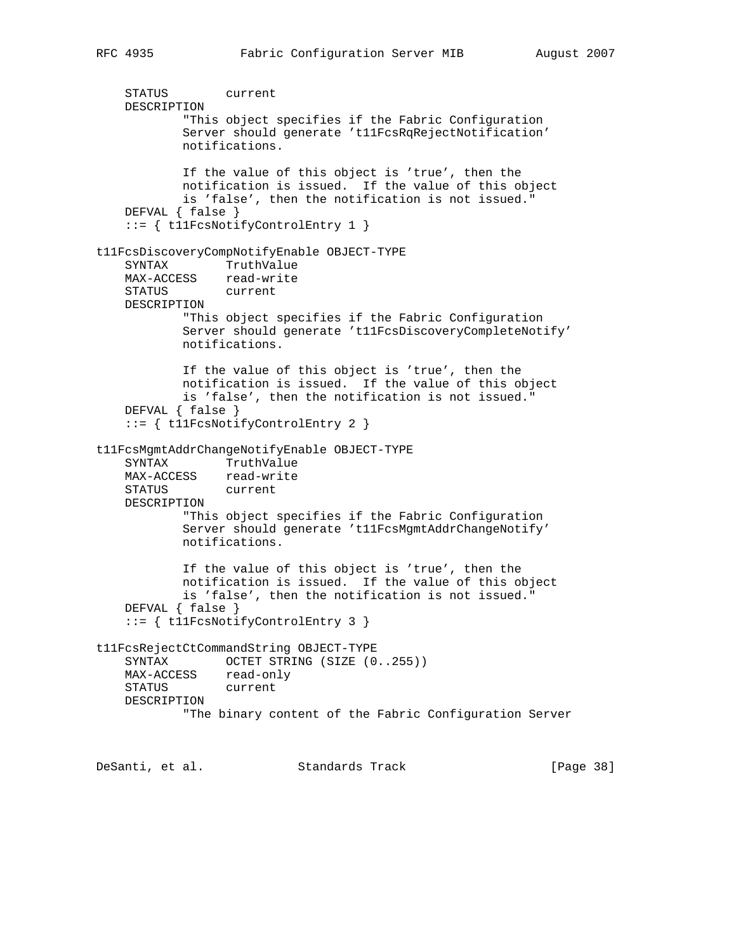```
 STATUS current
    DESCRIPTION
            "This object specifies if the Fabric Configuration
            Server should generate 't11FcsRqRejectNotification'
            notifications.
            If the value of this object is 'true', then the
            notification is issued. If the value of this object
            is 'false', then the notification is not issued."
    DEFVAL { false }
    ::= { t11FcsNotifyControlEntry 1 }
t11FcsDiscoveryCompNotifyEnable OBJECT-TYPE
    SYNTAX TruthValue
   MAX-ACCESS read-write
    STATUS current
    DESCRIPTION
            "This object specifies if the Fabric Configuration
            Server should generate 't11FcsDiscoveryCompleteNotify'
            notifications.
            If the value of this object is 'true', then the
```

```
 notification is issued. If the value of this object
         is 'false', then the notification is not issued."
 DEFVAL { false }
 ::= { t11FcsNotifyControlEntry 2 }
```

```
t11FcsMgmtAddrChangeNotifyEnable OBJECT-TYPE
 SYNTAX TruthValue
```

```
 MAX-ACCESS read-write
    STATUS current
    DESCRIPTION
            "This object specifies if the Fabric Configuration
            Server should generate 't11FcsMgmtAddrChangeNotify'
            notifications.
            If the value of this object is 'true', then the
            notification is issued. If the value of this object
            is 'false', then the notification is not issued."
    DEFVAL { false }
     ::= { t11FcsNotifyControlEntry 3 }
t11FcsRejectCtCommandString OBJECT-TYPE
   SYNTAX OCTET STRING (SIZE (0..255))
 MAX-ACCESS read-only
 STATUS current
    DESCRIPTION
            "The binary content of the Fabric Configuration Server
```
DeSanti, et al. Standards Track [Page 38]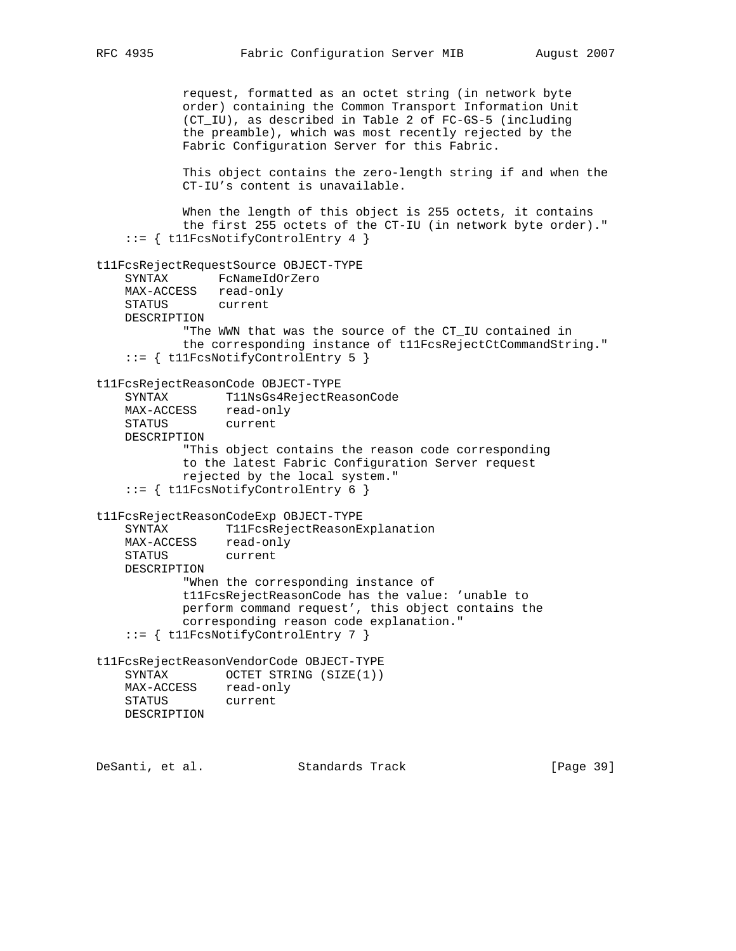request, formatted as an octet string (in network byte order) containing the Common Transport Information Unit (CT\_IU), as described in Table 2 of FC-GS-5 (including the preamble), which was most recently rejected by the Fabric Configuration Server for this Fabric. This object contains the zero-length string if and when the CT-IU's content is unavailable. When the length of this object is 255 octets, it contains the first 255 octets of the CT-IU (in network byte order)." ::= { t11FcsNotifyControlEntry 4 } t11FcsRejectRequestSource OBJECT-TYPE SYNTAX FcNameIdOrZero MAX-ACCESS read-only STATUS current DESCRIPTION "The WWN that was the source of the CT\_IU contained in the corresponding instance of t11FcsRejectCtCommandString." ::= { t11FcsNotifyControlEntry 5 } t11FcsRejectReasonCode OBJECT-TYPE SYNTAX T11NsGs4RejectReasonCode MAX-ACCESS read-only STATUS current DESCRIPTION "This object contains the reason code corresponding to the latest Fabric Configuration Server request rejected by the local system." ::= { t11FcsNotifyControlEntry 6 } t11FcsRejectReasonCodeExp OBJECT-TYPE SYNTAX T11FcsRejectReasonExplanation MAX-ACCESS read-only STATUS current DESCRIPTION "When the corresponding instance of t11FcsRejectReasonCode has the value: 'unable to perform command request', this object contains the corresponding reason code explanation." ::= { t11FcsNotifyControlEntry 7 } t11FcsRejectReasonVendorCode OBJECT-TYPE SYNTAX OCTET STRING (SIZE(1)) MAX-ACCESS read-only STATUS current DESCRIPTION DeSanti, et al. Standards Track [Page 39]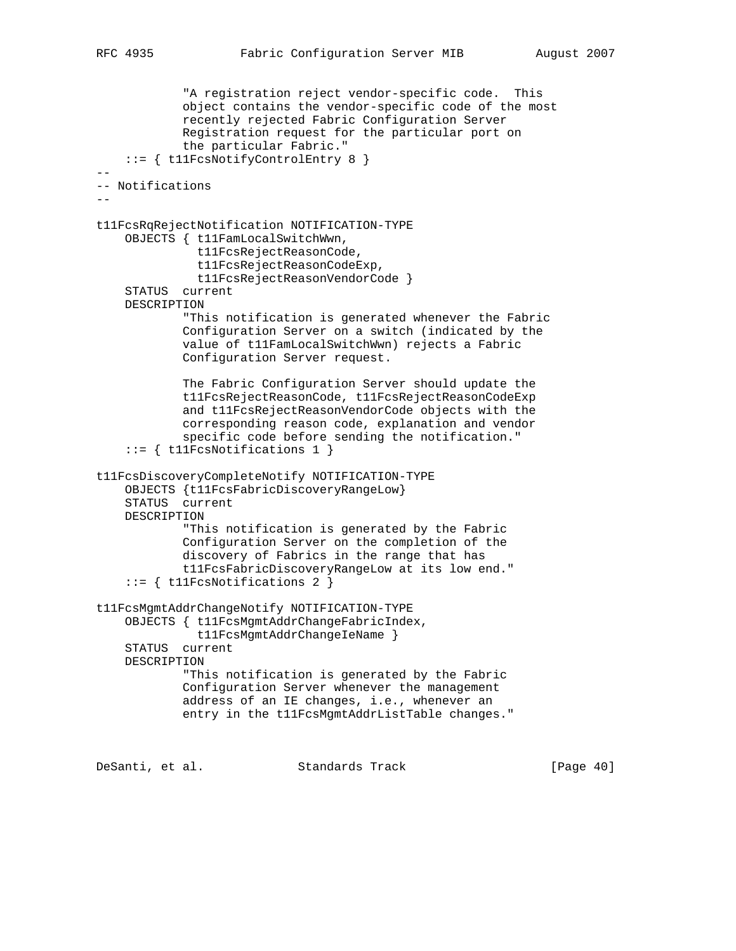```
 "A registration reject vendor-specific code. This
```

```
 object contains the vendor-specific code of the most
             recently rejected Fabric Configuration Server
             Registration request for the particular port on
             the particular Fabric."
     ::= { t11FcsNotifyControlEntry 8 }
--
-- Notifications
--
t11FcsRqRejectNotification NOTIFICATION-TYPE
     OBJECTS { t11FamLocalSwitchWwn,
               t11FcsRejectReasonCode,
               t11FcsRejectReasonCodeExp,
               t11FcsRejectReasonVendorCode }
     STATUS current
     DESCRIPTION
             "This notification is generated whenever the Fabric
             Configuration Server on a switch (indicated by the
             value of t11FamLocalSwitchWwn) rejects a Fabric
             Configuration Server request.
             The Fabric Configuration Server should update the
             t11FcsRejectReasonCode, t11FcsRejectReasonCodeExp
             and t11FcsRejectReasonVendorCode objects with the
             corresponding reason code, explanation and vendor
             specific code before sending the notification."
     ::= { t11FcsNotifications 1 }
t11FcsDiscoveryCompleteNotify NOTIFICATION-TYPE
     OBJECTS {t11FcsFabricDiscoveryRangeLow}
     STATUS current
     DESCRIPTION
             "This notification is generated by the Fabric
             Configuration Server on the completion of the
             discovery of Fabrics in the range that has
             t11FcsFabricDiscoveryRangeLow at its low end."
     ::= { t11FcsNotifications 2 }
t11FcsMgmtAddrChangeNotify NOTIFICATION-TYPE
     OBJECTS { t11FcsMgmtAddrChangeFabricIndex,
               t11FcsMgmtAddrChangeIeName }
     STATUS current
     DESCRIPTION
             "This notification is generated by the Fabric
             Configuration Server whenever the management
             address of an IE changes, i.e., whenever an
             entry in the t11FcsMgmtAddrListTable changes."
```
DeSanti, et al. Standards Track [Page 40]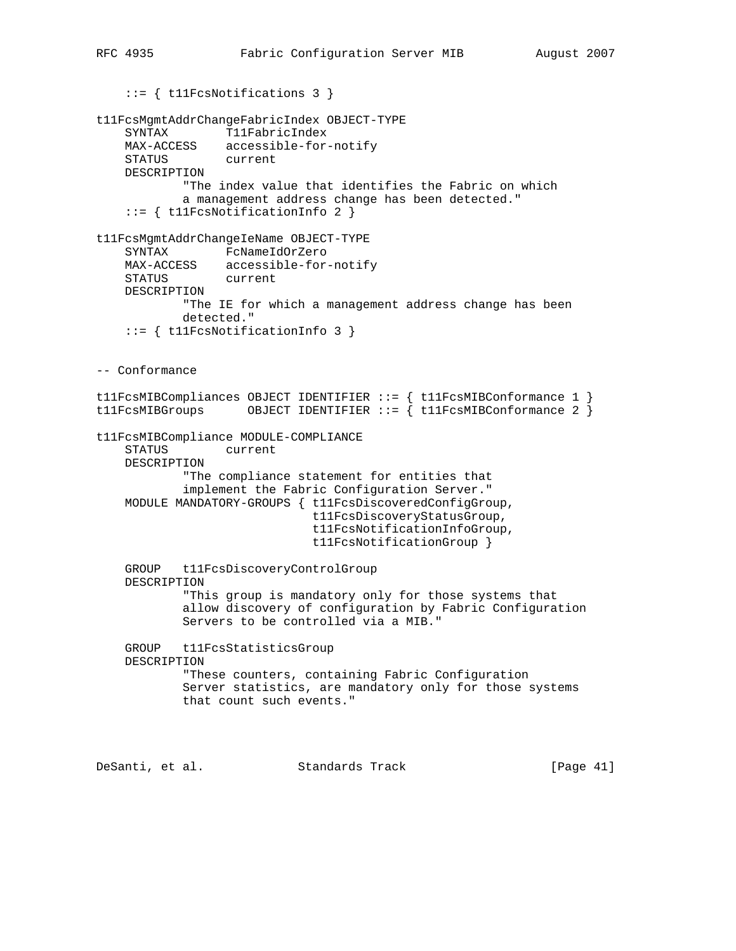```
 ::= { t11FcsNotifications 3 }
t11FcsMgmtAddrChangeFabricIndex OBJECT-TYPE
     SYNTAX T11FabricIndex
     MAX-ACCESS accessible-for-notify
    STATUS
     DESCRIPTION
            "The index value that identifies the Fabric on which
            a management address change has been detected."
     ::= { t11FcsNotificationInfo 2 }
t11FcsMgmtAddrChangeIeName OBJECT-TYPE
     SYNTAX FcNameIdOrZero
 MAX-ACCESS accessible-for-notify
 STATUS current
     DESCRIPTION
            "The IE for which a management address change has been
            detected."
     ::= { t11FcsNotificationInfo 3 }
-- Conformance
t11FcsMIBCompliances OBJECT IDENTIFIER ::= { t11FcsMIBConformance 1 }
t11FcsMIBGroups 0BJECT IDENTIFIER ::= \int t11FcsMIBConformance 2 \intt11FcsMIBCompliance MODULE-COMPLIANCE
     STATUS current
     DESCRIPTION
             "The compliance statement for entities that
             implement the Fabric Configuration Server."
     MODULE MANDATORY-GROUPS { t11FcsDiscoveredConfigGroup,
                               t11FcsDiscoveryStatusGroup,
                               t11FcsNotificationInfoGroup,
                               t11FcsNotificationGroup }
     GROUP t11FcsDiscoveryControlGroup
     DESCRIPTION
            "This group is mandatory only for those systems that
             allow discovery of configuration by Fabric Configuration
            Servers to be controlled via a MIB."
     GROUP t11FcsStatisticsGroup
     DESCRIPTION
            "These counters, containing Fabric Configuration
             Server statistics, are mandatory only for those systems
            that count such events."
```
DeSanti, et al. Standards Track [Page 41]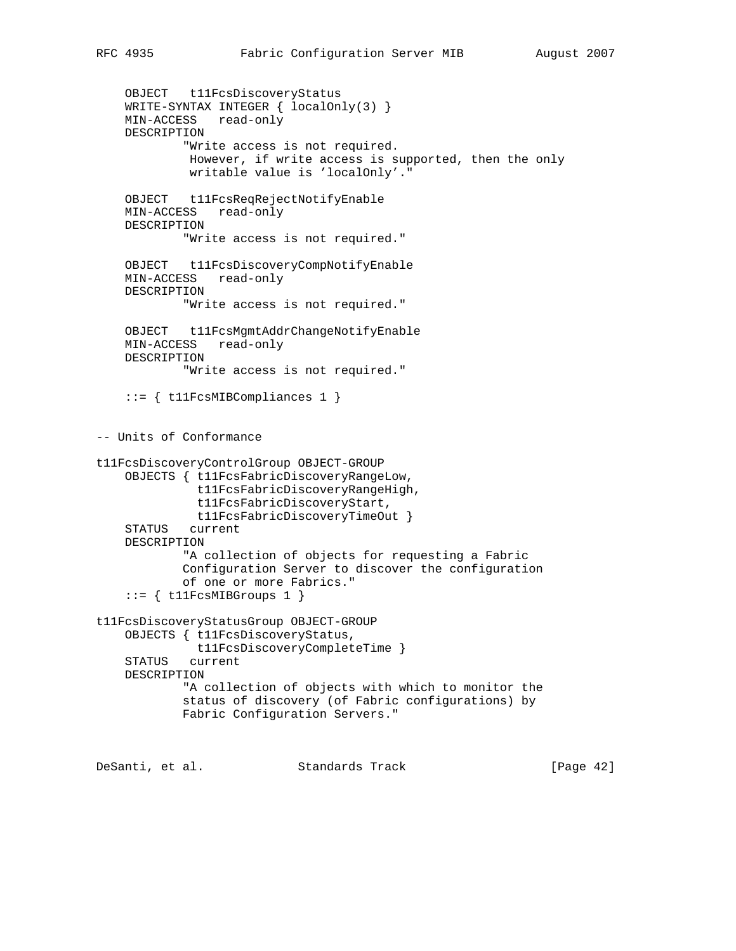```
 OBJECT t11FcsDiscoveryStatus
     WRITE-SYNTAX INTEGER { localOnly(3) }
    MIN-ACCESS read-only
     DESCRIPTION
             "Write access is not required.
              However, if write access is supported, then the only
             writable value is 'localOnly'."
     OBJECT t11FcsReqRejectNotifyEnable
     MIN-ACCESS read-only
     DESCRIPTION
             "Write access is not required."
     OBJECT t11FcsDiscoveryCompNotifyEnable
     MIN-ACCESS read-only
     DESCRIPTION
             "Write access is not required."
     OBJECT t11FcsMgmtAddrChangeNotifyEnable
     MIN-ACCESS read-only
     DESCRIPTION
             "Write access is not required."
     ::= { t11FcsMIBCompliances 1 }
-- Units of Conformance
t11FcsDiscoveryControlGroup OBJECT-GROUP
     OBJECTS { t11FcsFabricDiscoveryRangeLow,
               t11FcsFabricDiscoveryRangeHigh,
               t11FcsFabricDiscoveryStart,
               t11FcsFabricDiscoveryTimeOut }
     STATUS current
     DESCRIPTION
             "A collection of objects for requesting a Fabric
             Configuration Server to discover the configuration
             of one or more Fabrics."
    ::= { t11FcsMIBGroups 1 }
t11FcsDiscoveryStatusGroup OBJECT-GROUP
     OBJECTS { t11FcsDiscoveryStatus,
              t11FcsDiscoveryCompleteTime }
     STATUS current
     DESCRIPTION
             "A collection of objects with which to monitor the
             status of discovery (of Fabric configurations) by
             Fabric Configuration Servers."
```
DeSanti, et al. Standards Track [Page 42]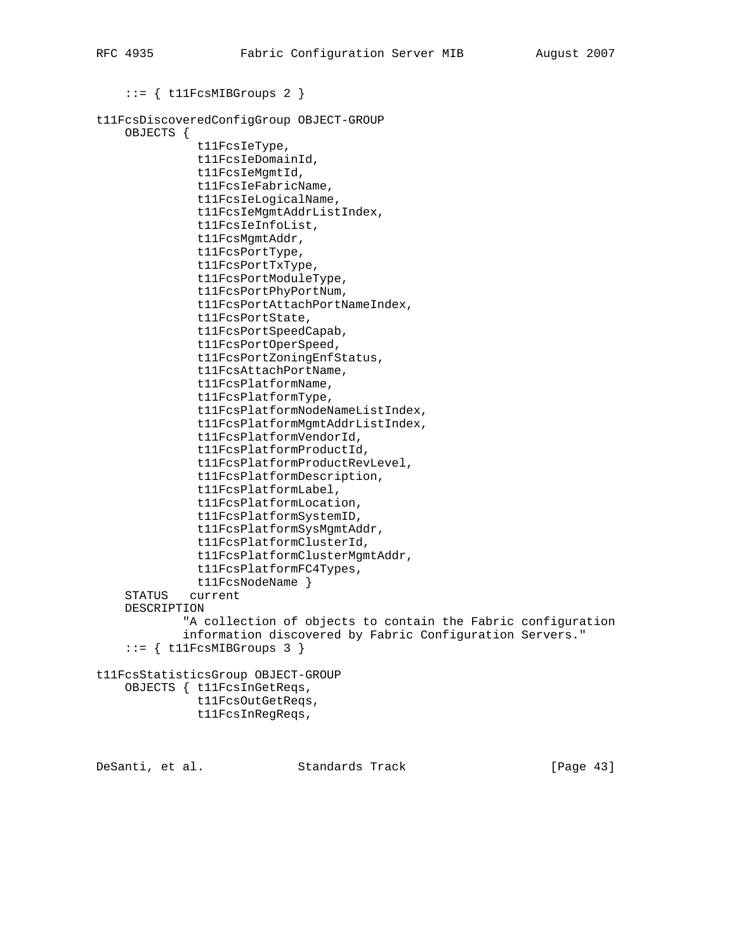```
 ::= { t11FcsMIBGroups 2 }
```

```
t11FcsDiscoveredConfigGroup OBJECT-GROUP
     OBJECTS {
```

```
 t11FcsIeType,
           t11FcsIeDomainId,
           t11FcsIeMgmtId,
           t11FcsIeFabricName,
           t11FcsIeLogicalName,
           t11FcsIeMgmtAddrListIndex,
           t11FcsIeInfoList,
           t11FcsMgmtAddr,
           t11FcsPortType,
           t11FcsPortTxType,
           t11FcsPortModuleType,
           t11FcsPortPhyPortNum,
           t11FcsPortAttachPortNameIndex,
           t11FcsPortState,
           t11FcsPortSpeedCapab,
           t11FcsPortOperSpeed,
           t11FcsPortZoningEnfStatus,
           t11FcsAttachPortName,
           t11FcsPlatformName,
           t11FcsPlatformType,
           t11FcsPlatformNodeNameListIndex,
           t11FcsPlatformMgmtAddrListIndex,
           t11FcsPlatformVendorId,
           t11FcsPlatformProductId,
           t11FcsPlatformProductRevLevel,
           t11FcsPlatformDescription,
           t11FcsPlatformLabel,
           t11FcsPlatformLocation,
           t11FcsPlatformSystemID,
           t11FcsPlatformSysMgmtAddr,
           t11FcsPlatformClusterId,
           t11FcsPlatformClusterMgmtAddr,
           t11FcsPlatformFC4Types,
           t11FcsNodeName }
 STATUS current
 DESCRIPTION
         "A collection of objects to contain the Fabric configuration
         information discovered by Fabric Configuration Servers."
```

```
::= { t11FcsMIBGroups 3 }
```
# t11FcsStatisticsGroup OBJECT-GROUP OBJECTS { t11FcsInGetReqs,

```
 t11FcsOutGetReqs,
 t11FcsInRegReqs,
```
DeSanti, et al. Standards Track [Page 43]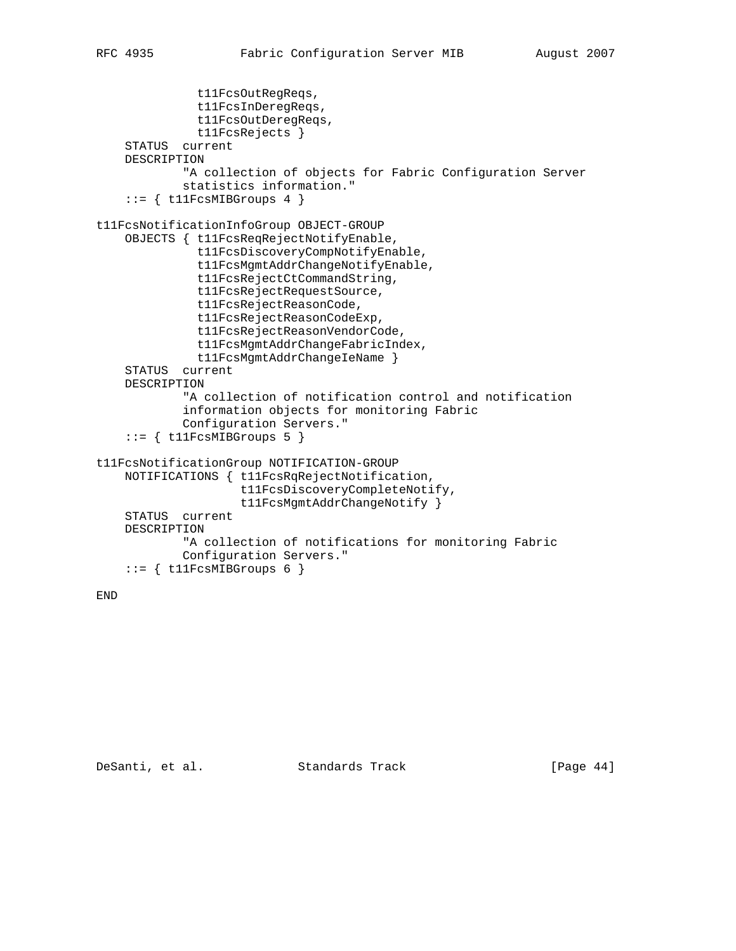```
 t11FcsOutRegReqs,
               t11FcsInDeregReqs,
               t11FcsOutDeregReqs,
               t11FcsRejects }
     STATUS current
     DESCRIPTION
             "A collection of objects for Fabric Configuration Server
             statistics information."
     ::= { t11FcsMIBGroups 4 }
t11FcsNotificationInfoGroup OBJECT-GROUP
     OBJECTS { t11FcsReqRejectNotifyEnable,
               t11FcsDiscoveryCompNotifyEnable,
               t11FcsMgmtAddrChangeNotifyEnable,
               t11FcsRejectCtCommandString,
               t11FcsRejectRequestSource,
               t11FcsRejectReasonCode,
               t11FcsRejectReasonCodeExp,
               t11FcsRejectReasonVendorCode,
               t11FcsMgmtAddrChangeFabricIndex,
               t11FcsMgmtAddrChangeIeName }
     STATUS current
     DESCRIPTION
             "A collection of notification control and notification
             information objects for monitoring Fabric
             Configuration Servers."
    ::= { t11FcsMIBGroups 5 }
t11FcsNotificationGroup NOTIFICATION-GROUP
     NOTIFICATIONS { t11FcsRqRejectNotification,
                     t11FcsDiscoveryCompleteNotify,
                     t11FcsMgmtAddrChangeNotify }
     STATUS current
     DESCRIPTION
             "A collection of notifications for monitoring Fabric
             Configuration Servers."
    ::= { t11FcsMIBGroups 6 }
```
END

DeSanti, et al. Standards Track [Page 44]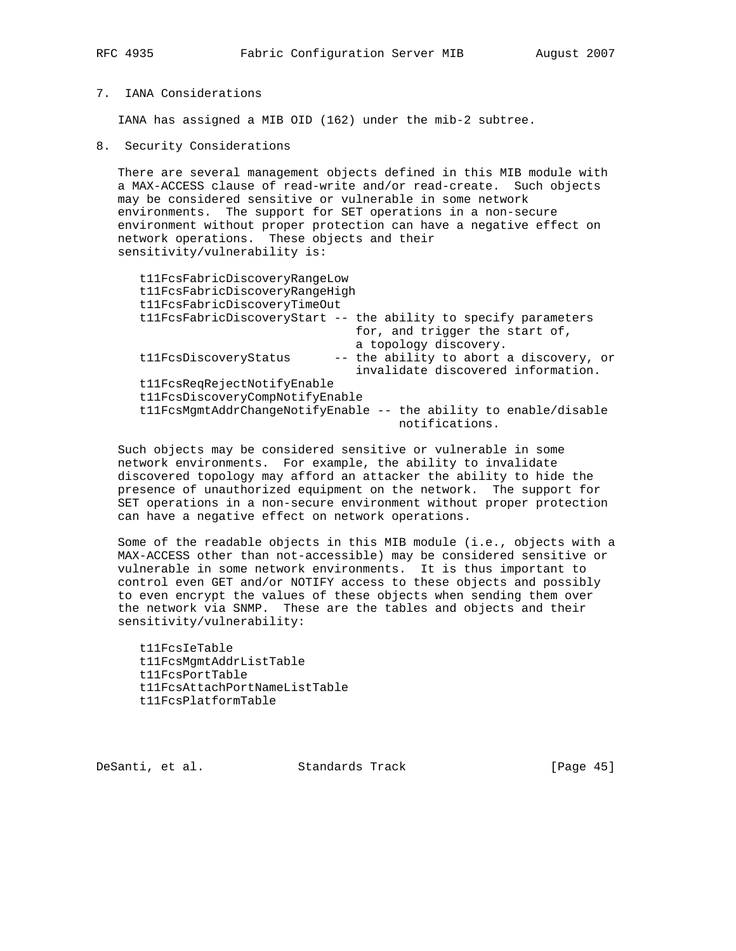# 7. IANA Considerations

IANA has assigned a MIB OID (162) under the mib-2 subtree.

8. Security Considerations

 There are several management objects defined in this MIB module with a MAX-ACCESS clause of read-write and/or read-create. Such objects may be considered sensitive or vulnerable in some network environments. The support for SET operations in a non-secure environment without proper protection can have a negative effect on network operations. These objects and their sensitivity/vulnerability is:

| t11FcsFabricDiscoveryRangeLow   |                                                                   |
|---------------------------------|-------------------------------------------------------------------|
| t11FcsFabricDiscoveryRangeHigh  |                                                                   |
| t11FcsFabricDiscoveryTimeOut    |                                                                   |
|                                 | tllFcsFabricDiscoveryStart -- the ability to specify parameters   |
|                                 | for, and trigger the start of,                                    |
|                                 | a topology discovery.                                             |
| t11FcsDiscoveryStatus           | -- the ability to abort a discovery, or                           |
|                                 | invalidate discovered information.                                |
| t11FcsReqRejectNotifyEnable     |                                                                   |
| t11FcsDiscoveryCompNotifyEnable |                                                                   |
|                                 | tllFcsMgmtAddrChangeNotifyEnable -- the ability to enable/disable |
|                                 | notifications.                                                    |

 Such objects may be considered sensitive or vulnerable in some network environments. For example, the ability to invalidate discovered topology may afford an attacker the ability to hide the presence of unauthorized equipment on the network. The support for SET operations in a non-secure environment without proper protection can have a negative effect on network operations.

 Some of the readable objects in this MIB module (i.e., objects with a MAX-ACCESS other than not-accessible) may be considered sensitive or vulnerable in some network environments. It is thus important to control even GET and/or NOTIFY access to these objects and possibly to even encrypt the values of these objects when sending them over the network via SNMP. These are the tables and objects and their sensitivity/vulnerability:

 t11FcsIeTable t11FcsMgmtAddrListTable t11FcsPortTable t11FcsAttachPortNameListTable t11FcsPlatformTable

DeSanti, et al. Standards Track [Page 45]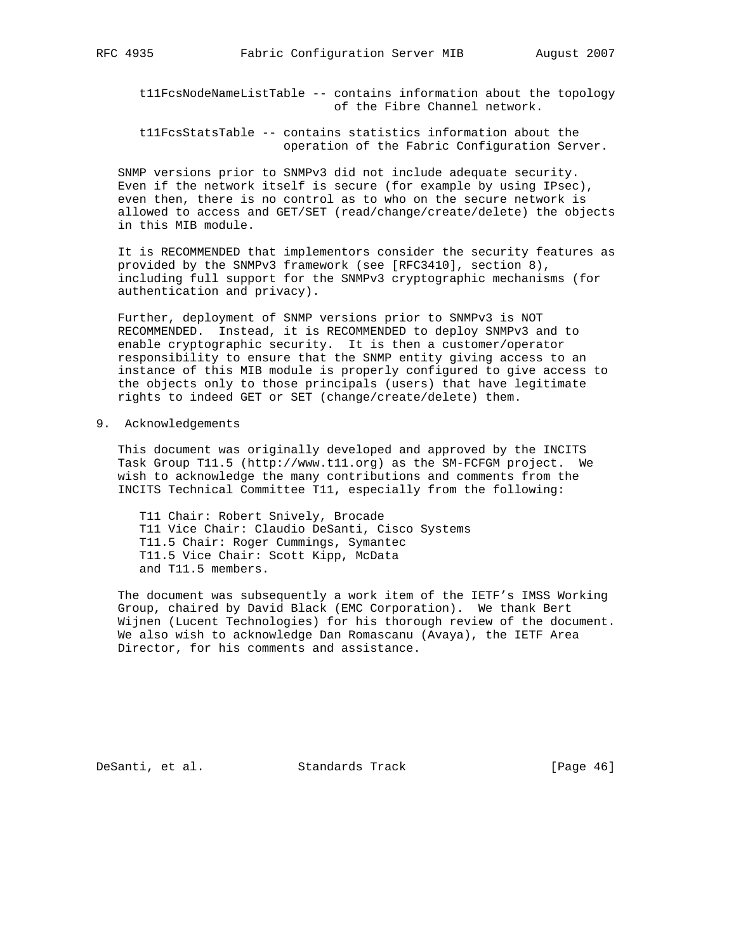t11FcsNodeNameListTable -- contains information about the topology of the Fibre Channel network.

 t11FcsStatsTable -- contains statistics information about the operation of the Fabric Configuration Server.

 SNMP versions prior to SNMPv3 did not include adequate security. Even if the network itself is secure (for example by using IPsec), even then, there is no control as to who on the secure network is allowed to access and GET/SET (read/change/create/delete) the objects in this MIB module.

 It is RECOMMENDED that implementors consider the security features as provided by the SNMPv3 framework (see [RFC3410], section 8), including full support for the SNMPv3 cryptographic mechanisms (for authentication and privacy).

 Further, deployment of SNMP versions prior to SNMPv3 is NOT RECOMMENDED. Instead, it is RECOMMENDED to deploy SNMPv3 and to enable cryptographic security. It is then a customer/operator responsibility to ensure that the SNMP entity giving access to an instance of this MIB module is properly configured to give access to the objects only to those principals (users) that have legitimate rights to indeed GET or SET (change/create/delete) them.

9. Acknowledgements

 This document was originally developed and approved by the INCITS Task Group T11.5 (http://www.t11.org) as the SM-FCFGM project. We wish to acknowledge the many contributions and comments from the INCITS Technical Committee T11, especially from the following:

 T11 Chair: Robert Snively, Brocade T11 Vice Chair: Claudio DeSanti, Cisco Systems T11.5 Chair: Roger Cummings, Symantec T11.5 Vice Chair: Scott Kipp, McData and T11.5 members.

 The document was subsequently a work item of the IETF's IMSS Working Group, chaired by David Black (EMC Corporation). We thank Bert Wijnen (Lucent Technologies) for his thorough review of the document. We also wish to acknowledge Dan Romascanu (Avaya), the IETF Area Director, for his comments and assistance.

DeSanti, et al. Standards Track [Page 46]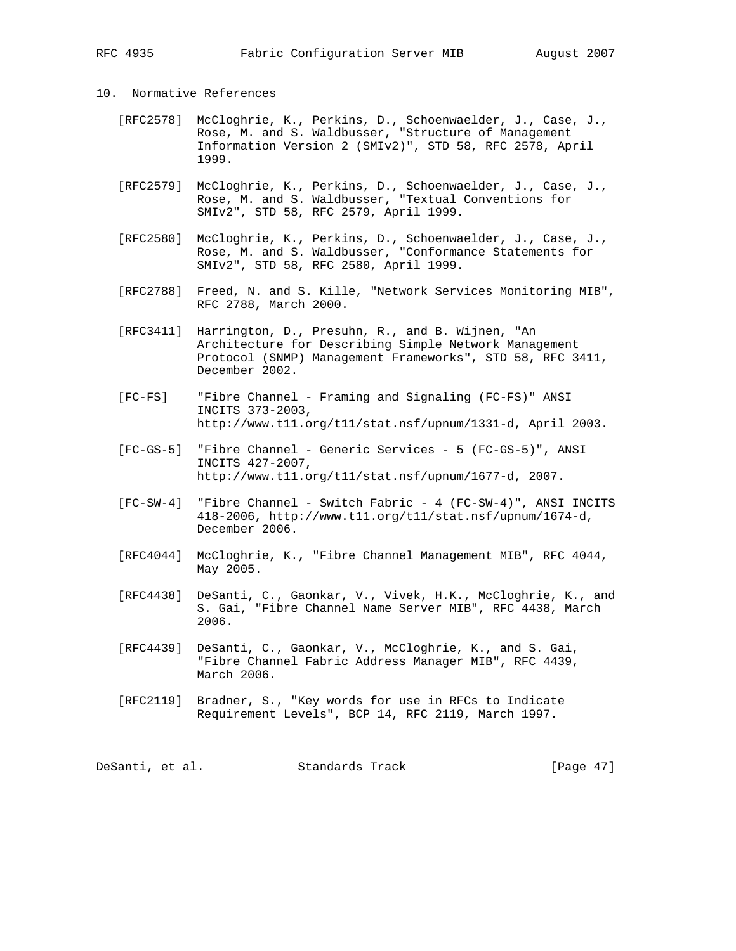# 10. Normative References

- [RFC2578] McCloghrie, K., Perkins, D., Schoenwaelder, J., Case, J., Rose, M. and S. Waldbusser, "Structure of Management Information Version 2 (SMIv2)", STD 58, RFC 2578, April 1999.
- [RFC2579] McCloghrie, K., Perkins, D., Schoenwaelder, J., Case, J., Rose, M. and S. Waldbusser, "Textual Conventions for SMIv2", STD 58, RFC 2579, April 1999.
- [RFC2580] McCloghrie, K., Perkins, D., Schoenwaelder, J., Case, J., Rose, M. and S. Waldbusser, "Conformance Statements for SMIv2", STD 58, RFC 2580, April 1999.
- [RFC2788] Freed, N. and S. Kille, "Network Services Monitoring MIB", RFC 2788, March 2000.
- [RFC3411] Harrington, D., Presuhn, R., and B. Wijnen, "An Architecture for Describing Simple Network Management Protocol (SNMP) Management Frameworks", STD 58, RFC 3411, December 2002.
- [FC-FS] "Fibre Channel Framing and Signaling (FC-FS)" ANSI INCITS 373-2003, http://www.t11.org/t11/stat.nsf/upnum/1331-d, April 2003.
- [FC-GS-5] "Fibre Channel Generic Services 5 (FC-GS-5)", ANSI INCITS 427-2007, http://www.t11.org/t11/stat.nsf/upnum/1677-d, 2007.
- [FC-SW-4] "Fibre Channel Switch Fabric 4 (FC-SW-4)", ANSI INCITS 418-2006, http://www.t11.org/t11/stat.nsf/upnum/1674-d, December 2006.
- [RFC4044] McCloghrie, K., "Fibre Channel Management MIB", RFC 4044, May 2005.
- [RFC4438] DeSanti, C., Gaonkar, V., Vivek, H.K., McCloghrie, K., and S. Gai, "Fibre Channel Name Server MIB", RFC 4438, March 2006.
- [RFC4439] DeSanti, C., Gaonkar, V., McCloghrie, K., and S. Gai, "Fibre Channel Fabric Address Manager MIB", RFC 4439, March 2006.
- [RFC2119] Bradner, S., "Key words for use in RFCs to Indicate Requirement Levels", BCP 14, RFC 2119, March 1997.

DeSanti, et al. Standards Track [Page 47]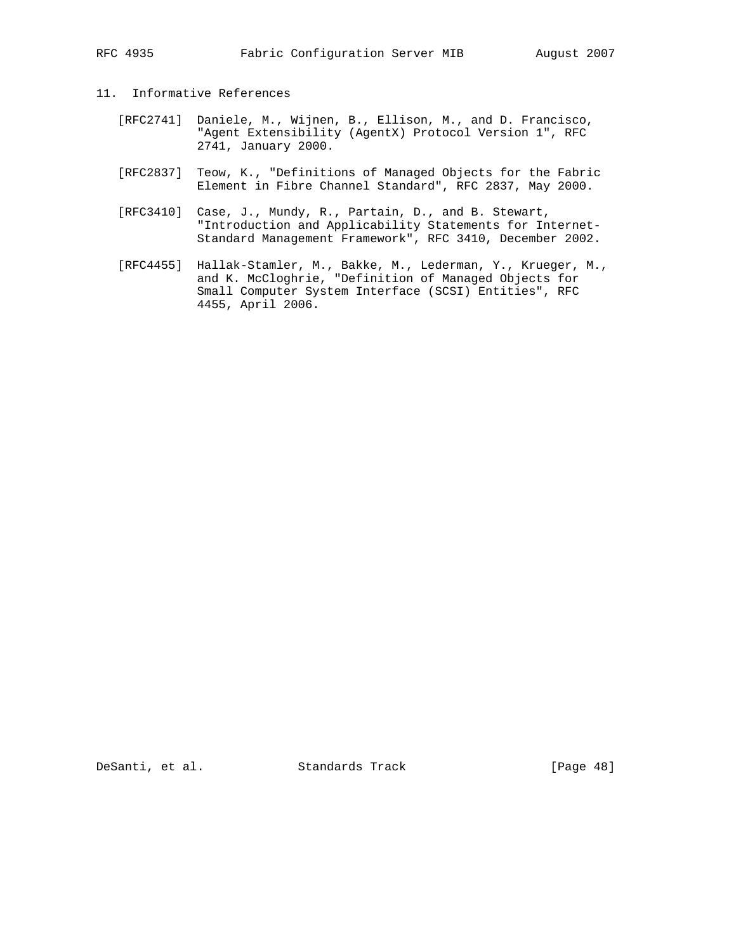- 11. Informative References
	- [RFC2741] Daniele, M., Wijnen, B., Ellison, M., and D. Francisco, "Agent Extensibility (AgentX) Protocol Version 1", RFC 2741, January 2000.
	- [RFC2837] Teow, K., "Definitions of Managed Objects for the Fabric Element in Fibre Channel Standard", RFC 2837, May 2000.
	- [RFC3410] Case, J., Mundy, R., Partain, D., and B. Stewart, "Introduction and Applicability Statements for Internet- Standard Management Framework", RFC 3410, December 2002.
- [RFC4455] Hallak-Stamler, M., Bakke, M., Lederman, Y., Krueger, M., and K. McCloghrie, "Definition of Managed Objects for Small Computer System Interface (SCSI) Entities", RFC 4455, April 2006.

DeSanti, et al. Standards Track [Page 48]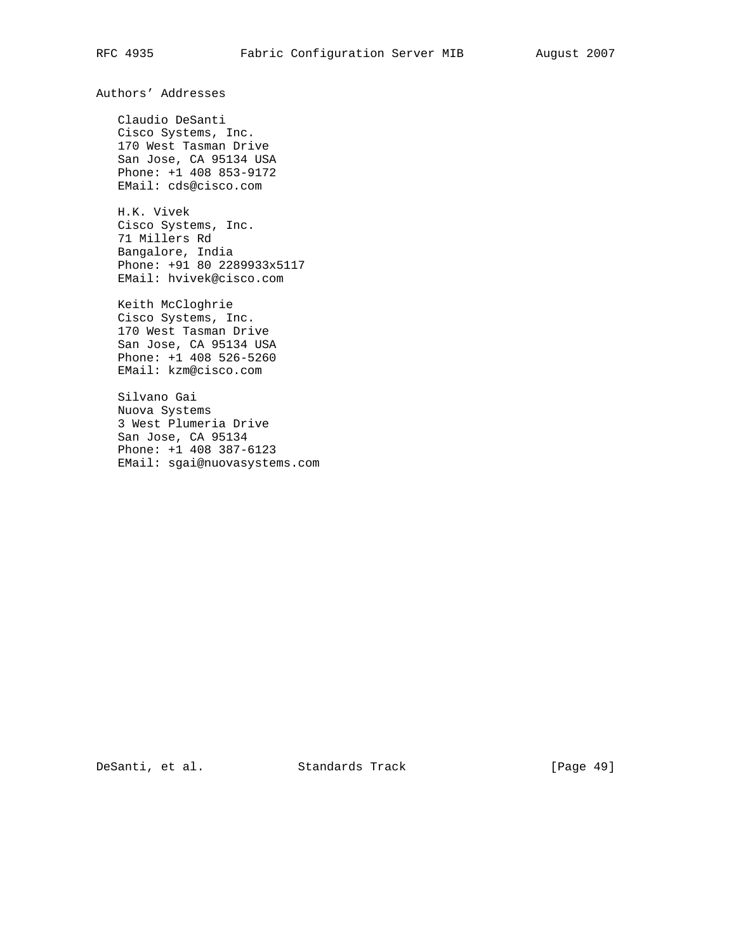Authors' Addresses

 Claudio DeSanti Cisco Systems, Inc. 170 West Tasman Drive San Jose, CA 95134 USA Phone: +1 408 853-9172 EMail: cds@cisco.com

 H.K. Vivek Cisco Systems, Inc. 71 Millers Rd Bangalore, India Phone: +91 80 2289933x5117 EMail: hvivek@cisco.com

 Keith McCloghrie Cisco Systems, Inc. 170 West Tasman Drive San Jose, CA 95134 USA Phone: +1 408 526-5260 EMail: kzm@cisco.com

 Silvano Gai Nuova Systems 3 West Plumeria Drive San Jose, CA 95134 Phone: +1 408 387-6123 EMail: sgai@nuovasystems.com

DeSanti, et al. Standards Track [Page 49]